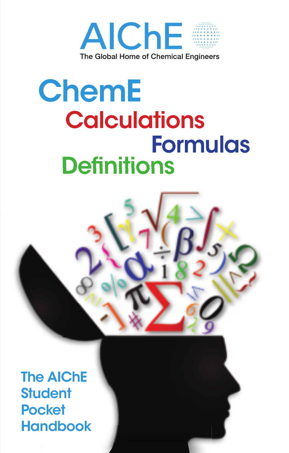

# **ChemE Calculations Formulas Definitions**



The AIChE **Student Pocket Handbook**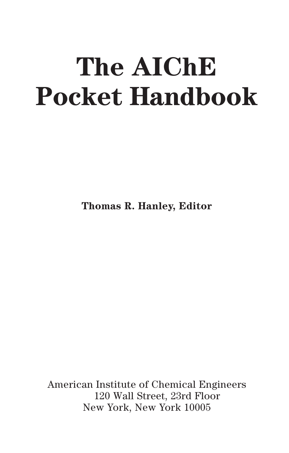# **The AIChE Pocket Handbook**

**Thomas R. Hanley, Editor**

American Institute of Chemical Engineers New York, New York 100 05 120 Wall Street, 23rd Floor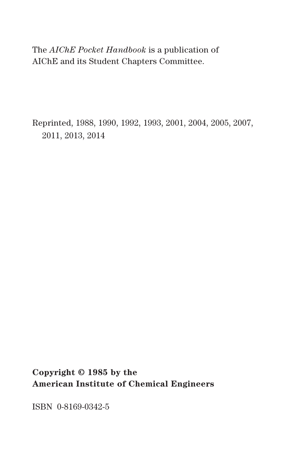The *AIChE Pocket Handbook* is a publication of AIChE and its Student Chapters Committee.

Reprinted, 1988, 1990, 1992, 1993, 2001, 2004, 2005, 2007, 2011, 2013, 2014

**Copyright © 1985 by the American Institute of Chemical Engineers**

ISBN 0-8169-0342-5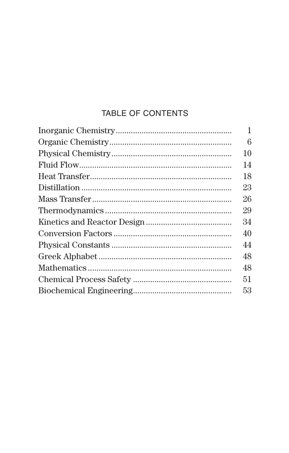# TABLE OF CONTENTS

| 1  |
|----|
| 6  |
| 10 |
| 14 |
| 18 |
| 23 |
| 26 |
| 29 |
| 34 |
| 40 |
| 44 |
| 48 |
| 48 |
| 51 |
| 53 |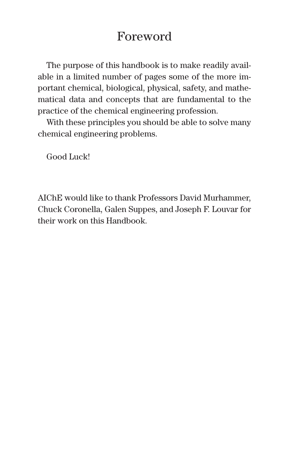# Foreword

The purpose of this handbook is to make readily available in a limited number of pages some of the more important chemical, biological, physical, safety, and mathematical data and concepts that are fundamental to the practice of the chemical engineering profession.

With these principles you should be able to solve many chemical engineering problems.

Good Luck!

AIChE would like to thank Professors David Murhammer, Chuck Coronella, Galen Suppes, and Joseph F. Louvar for their work on this Handbook.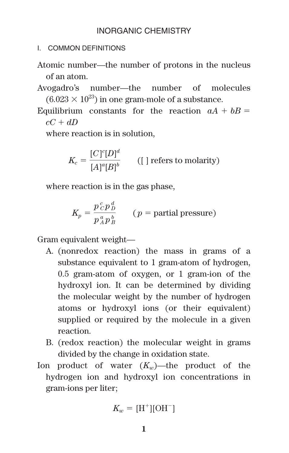# INORGANIC CHEMISTRY

- I. COMMON DEFINITIONS
- Atomic number—the number of protons in the nucleus of an atom.
- Avogadro's number—the number of molecules  $(6.023 \times 10^{23})$  in one gram-mole of a substance.
- Equilibrium constants for the reaction  $aA + bB =$  $cC + dD$

where reaction is in solution,

$$
K_c = \frac{[C]^c[D]^d}{[A]^a[B]^b}
$$
 ([] refers to molarity)

where reaction is in the gas phase,

$$
K_p = \frac{p^c_c p^d_p}{p^a_A p^b_B}
$$
 (*p* = partial pressure)

Gram equivalent weight—

- A. (nonredox reaction) the mass in grams of a substance equivalent to 1 gram-atom of hydrogen, 0.5 gram-atom of oxygen, or 1 gram-ion of the hydroxyl ion. It can be determined by dividing the molecular weight by the number of hydrogen atoms or hydroxyl ions (or their equivalent) supplied or required by the molecule in a given reaction.
- B. (redox reaction) the molecular weight in grams divided by the change in oxidation state.
- Ion product of water  $(K_{w})$ —the product of the hydrogen ion and hydroxyl ion concentrations in gram-ions per liter;

$$
K_w = [\mathrm{H}^+][\mathrm{OH}^-]
$$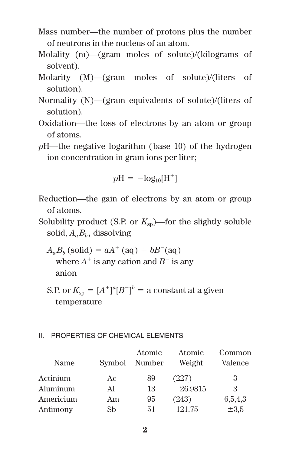- Mass number—the number of protons plus the number of neutrons in the nucleus of an atom.
- Molality (m)—(gram moles of solute)/(kilograms of solvent).
- Molarity (M)—(gram moles of solute)/(liters of solution).
- Normality (N)—(gram equivalents of solute)/(liters of solution).
- Oxidation—the loss of electrons by an atom or group of atoms.
- *p*H—the negative logarithm (base 10) of the hydrogen ion concentration in gram ions per liter;

$$
p\mathrm{H} = -\mathrm{log}_{10}[\mathrm{H}^+]
$$

- Reduction—the gain of electrons by an atom or group of atoms.
- Solubility product (S.P. or  $K_{\rm{sn}}$ )—for the slightly soluble solid,  $A_a B_b$ , dissolving
	- $A_a B_b$  (solid) =  $aA^+$  (aq) +  $bB^-$ (aq) where  $A^+$  is any cation and  $B^-$  is any anion
	- S.P. or  $K_{\text{sp}} = [A^+]^a [B^-]^b = \text{a constant at a given}$ temperature

#### II. PROPERTIES OF CHEMICAL ELEMENTS

|           |        | Atomic | Atomic  | Common    |
|-----------|--------|--------|---------|-----------|
| Name      | Symbol | Number | Weight  | Valence   |
| Actinium  | Aс     | 89     | (227)   | 3         |
| Aluminum  | Al     | 13     | 26.9815 | 3         |
| Americium | Am     | 95     | (243)   | 6,5,4,3   |
| Antimony  | Sb     | 51     | 121.75  | $\pm 3.5$ |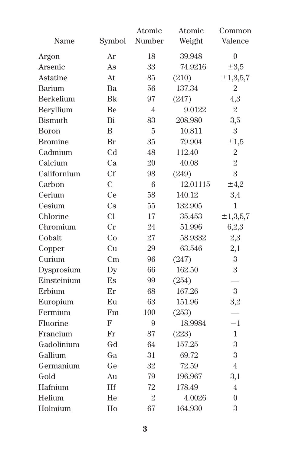|                |               | Atomic         | Atomic   | Common                  |
|----------------|---------------|----------------|----------|-------------------------|
| Name           | Symbol        | Number         | Weight   | Valence                 |
| Argon          | Ar            | 18             | 39.948   | $\overline{0}$          |
| Arsenic        | As            | 33             | 74.9216  | $\pm 3.5$               |
| Astatine       | At.           | 85             | (210)    | $\pm 1, 3, 5, 7$        |
| Barium         | <b>Ba</b>     | 56             | 137.34   | $\overline{2}$          |
| Berkelium      | Bk            | 97             | (247)    | 4,3                     |
| Beryllium      | Be            | $\overline{4}$ | 9.0122   | $\overline{2}$          |
| <b>Bismuth</b> | Bi            | 83             | 208.980  | 3,5                     |
| Boron          | B             | 5              | 10.811   | 3                       |
| <b>Bromine</b> | Br            | 35             | 79.904   | $\pm 1,5$               |
| Cadmium        | Cd            | 48             | 112.40   | $\overline{2}$          |
| Calcium        | Ca            | 20             | 40.08    | $\overline{2}$          |
| Californium    | Cf            | 98             | (249)    | $\overline{\mathbf{3}}$ |
| Carbon         | $\mathcal{C}$ | 6              | 12.01115 | ±4,2                    |
| Cerium         | Ce            | 58             | 140.12   | 3,4                     |
| Cesium         | Cs            | 55             | 132.905  | 1                       |
| Chlorine       | C1            | 17             | 35.453   | $\pm 1, 3, 5, 7$        |
| Chromium       | $_{\rm Cr}$   | 24             | 51.996   | 6,2,3                   |
| Cobalt         | Co            | 27             | 58.9332  | 2,3                     |
| Copper         | Cu            | 29             | 63.546   | 2,1                     |
| Curium         | Cm            | 96             | (247)    | 3                       |
| Dysprosium     | Dy            | 66             | 162.50   | 3                       |
| Einsteinium    | Es            | 99             | (254)    |                         |
| Erbium         | Er            | 68             | 167.26   | 3                       |
| Europium       | Eu            | 63             | 151.96   | 3,2                     |
| Fermium        | Fm            | 100            | (253)    |                         |
| Fluorine       | F             | 9              | 18.9984  | $-1$                    |
| Francium       | Fr            | 87             | (223)    | 1                       |
| Gadolinium     | Gd            | 64             | 157.25   | 3                       |
| Gallium        | Ga            | 31             | 69.72    | 3                       |
| Germanium      | Ge            | 32             | 72.59    | $\overline{4}$          |
| Gold           | Au            | 79             | 196.967  | 3,1                     |
| Hafnium        | Hf            | 72             | 178.49   | $\overline{4}$          |
| Helium         | He            | $\overline{2}$ | 4.0026   | $\overline{0}$          |
| Holmium        | Ho            | 67             | 164.930  | $\overline{\mathbf{3}}$ |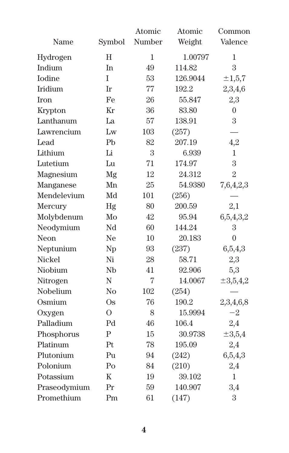|               |                | Atomic | Atomic   | Common         |
|---------------|----------------|--------|----------|----------------|
| Name          | Symbol         | Number | Weight   | Valence        |
| Hydrogen      | H              | 1      | 1.00797  | 1              |
| Indium        | In             | 49     | 114.82   | 3              |
| <b>Iodine</b> | T              | 53     | 126.9044 | ±1,5,7         |
| Iridium       | Ir             | 77     | 192.2    | 2,3,4,6        |
| <b>Iron</b>   | Fe             | 26     | 55.847   | 2,3            |
| Krypton       | Kr             | 36     | 83.80    | $\overline{0}$ |
| Lanthanum     | La             | 57     | 138.91   | 3              |
| Lawrencium    | Lw             | 103    | (257)    |                |
| Lead          | P <sub>b</sub> | 82     | 207.19   | 4,2            |
| Lithium       | Li             | 3      | 6.939    | 1              |
| Lutetium      | Lu             | 71     | 174.97   | 3              |
| Magnesium     | Mg             | 12     | 24.312   | $\overline{2}$ |
| Manganese     | Mn             | 25     | 54.9380  | 7,6,4,2,3      |
| Mendelevium   | Md             | 101    | (256)    |                |
| Mercury       | Hg             | 80     | 200.59   | 2,1            |
| Molybdenum    | Mo             | 42     | 95.94    | 6,5,4,3,2      |
| Neodymium     | Nd             | 60     | 144.24   | 3              |
| Neon          | Ne             | 10     | 20.183   | $\overline{0}$ |
| Neptunium     | Np             | 93     | (237)    | 6,5,4,3        |
| Nickel        | Ni             | 28     | 58.71    | 2,3            |
| Niobium       | Nb             | 41     | 92.906   | 5,3            |
| Nitrogen      | N              | 7      | 14.0067  | $\pm 3,5,4,2$  |
| Nobelium      | No             | 102    | (254)    |                |
| Osmium        | <b>Os</b>      | 76     | 190.2    | 2,3,4,6,8      |
| Oxygen        | $\Omega$       | 8      | 15.9994  | $-2$           |
| Palladium     | Pd             | 46     | 106.4    | $^{2,4}$       |
| Phosphorus    | $\mathbf{P}$   | 15     | 30.9738  | $\pm 3.5,4$    |
| Platinum      | Pt             | 78     | 195.09   | 2,4            |
| Plutonium     | $P_{11}$       | 94     | (242)    | 6,5,4,3        |
| Polonium      | Po             | 84     | (210)    | 2,4            |
| Potassium     | K              | 19     | 39.102   | 1              |
| Praseodymium  | Pr             | 59     | 140.907  | 3,4            |
| Promethium    | Pm             | 61     | (147)    | 3              |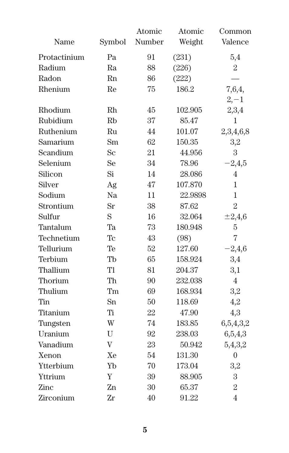|              |                      | Atomic | Atomic  | Common         |
|--------------|----------------------|--------|---------|----------------|
| Name         | Symbol               | Number | Weight  | Valence        |
| Protactinium | Pa                   | 91     | (231)   | 5,4            |
| Radium       | Ra                   | 88     | (226)   | $\overline{2}$ |
| Radon        | Rn                   | 86     | (222)   |                |
| Rhenium      | Re                   | 75     | 186.2   | 7,6,4,         |
|              |                      |        |         | $2, -1$        |
| Rhodium      | Rh                   | 45     | 102.905 | 2,3,4          |
| Rubidium     | <b>R<sub>b</sub></b> | 37     | 85.47   | $\mathbf{1}$   |
| Ruthenium    | Ru                   | 44     | 101.07  | 2,3,4,6,8      |
| Samarium     | Sm                   | 62     | 150.35  | 3,2            |
| Scandium     | Sc                   | 21     | 44.956  | 3              |
| Selenium     | Se                   | 34     | 78.96   | $-2,4,5$       |
| Silicon      | Si                   | 14     | 28.086  | 4              |
| Silver       | Ag                   | 47     | 107.870 | 1              |
| Sodium       | Na                   | 11     | 22.9898 | 1              |
| Strontium    | Sr                   | 38     | 87.62   | $\overline{2}$ |
| Sulfur       | S                    | 16     | 32.064  | $\pm 2,4,6$    |
| Tantalum     | Ta                   | 73     | 180.948 | 5              |
| Technetium   | Tc                   | 43     | (98)    | $\overline{7}$ |
| Tellurium    | Te                   | 52     | 127.60  | $-2,4,6$       |
| Terbium      | Tb                   | 65     | 158.924 | 3,4            |
| Thallium     | Tl                   | 81     | 204.37  | 3,1            |
| Thorium      | Th                   | 90     | 232.038 | $\overline{4}$ |
| Thulium      | Tm                   | 69     | 168.934 | 3,2            |
| Tin          | Sn                   | 50     | 118.69  | 4,2            |
| Titanium     | Ti                   | 22     | 47.90   | 4,3            |
| Tungsten     | W                    | 74     | 183.85  | 6,5,4,3,2      |
| Uranium      | U                    | 92     | 238.03  | 6,5,4,3        |
| Vanadium     | V                    | 23     | 50.942  | 5,4,3,2        |
| Xenon        | Xe                   | 54     | 131.30  | $\mathbf{0}$   |
| Ytterbium    | Yb                   | 70     | 173.04  | 3,2            |
| Yttrium      | Y                    | 39     | 88.905  | 3              |
| Zinc         | Zn                   | 30     | 65.37   | $\overline{2}$ |
| Zirconium    | Zr                   | 40     | 91.22   | $\overline{4}$ |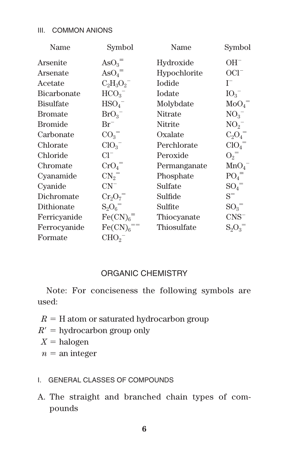#### III. COMMON ANIONS

| Name             | Symbol                        | Name           | Symbol                    |
|------------------|-------------------------------|----------------|---------------------------|
| Arsenite         | $\mathrm{AsO}_{3}^{-}$        | Hydroxide      | $OH^-$                    |
| Arsenate         | $\mathrm{AsO}_4$ <sup>=</sup> | Hypochlorite   | $OCI-$                    |
| Acetate          | $C_2H_3O_2^-$                 | Iodide         | $I^-$                     |
| Bicarbonate      | HCO <sub>3</sub>              | Iodate         | IO <sub>3</sub>           |
| <b>Bisulfate</b> | $HSO_4^-$                     | Molybdate      | $\mathrm{MoO}_{4}^{-}$    |
| <b>Bromate</b>   | $BrO_3^-$                     | <b>Nitrate</b> | $NO_{2}^{-}$              |
| <b>Bromide</b>   | $\rm Br^-$                    | Nitrite        | $NO_2^-$                  |
| Carbonate        | CO <sub>3</sub>               | Oxalate        | $C_2O_4^-$                |
| Chlorate         | $ClO_3^-$                     | Perchlorate    | CIO <sub>4</sub>          |
| Chloride         | $Cl^-$                        | Peroxide       | $O_2$ <sup>=</sup>        |
| Chromate         | CrO <sub>4</sub>              | Permanganate   | MnO <sub>4</sub>          |
| Cyanamide        | $CN_2$ <sup>=</sup>           | Phosphate      | $PO_4$ <sup>=</sup>       |
| Cyanide          | $CN^{-}$                      | Sulfate        | ${SO_4}^-$                |
| Dichromate       | $Cr_2O_7^-$                   | Sulfide        | $S^-$                     |
| Dithionate       | $S_2O_6$ <sup>=</sup>         | Sulfite        | ${SO_3}^-$                |
| Ferricyanide     | Fe(CN) <sub>6</sub>           | Thiocyanate    | $CNS^-$                   |
| Ferrocyanide     | $Fe(CN)6 =$                   | Thiosulfate    | $\mathrm{S_{2}O_{3}^{-}}$ |
| Formate          | CHO <sub>2</sub>              |                |                           |

# ORGANIC CHEMISTRY

Note: For conciseness the following symbols are used:

- $R = H$  atom or saturated hydrocarbon group
- $R' =$ hydrocarbon group only
- $X =$ halogen
- $n =$ an integer

#### I. GENERAL CLASSES OF COMPOUNDS

A. The straight and branched chain types of compounds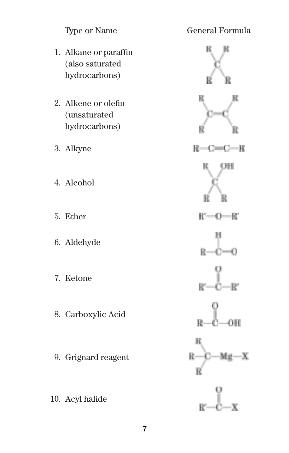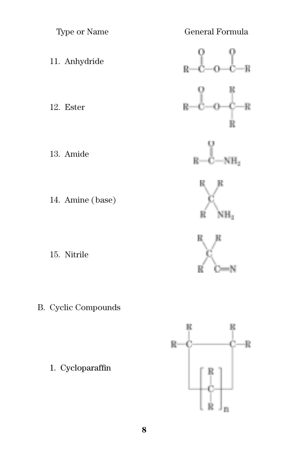

B. Cyclic Compounds

1. Cycloparaffin

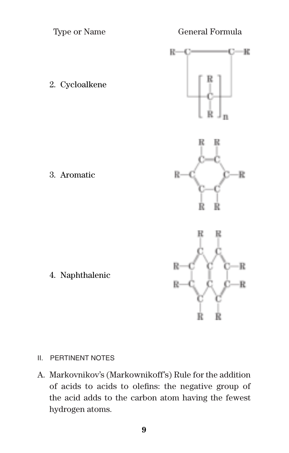Type or Name General Formula

 $\mathbb R$ 





# II. PERTINENT NOTES

A. Markovnikov's (Markownikoff's) Rule for the addition of acids to acids to olefins: the negative group of the acid adds to the carbon atom having the fewest hydrogen atoms.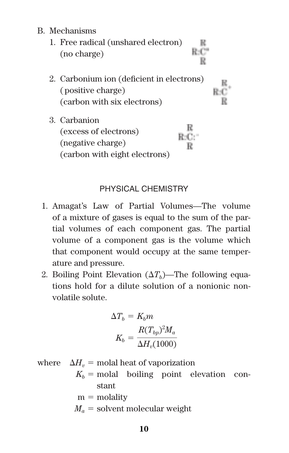B. Mechanisms

| 1. Free radical (unshared electron)<br>(no charge)                                            |  |
|-----------------------------------------------------------------------------------------------|--|
| 2. Carbonium ion (deficient in electrons)<br>(positive charge)<br>(carbon with six electrons) |  |
| 3. Carbanion<br>(excess of electrons)<br>(negative charge)<br>(carbon with eight electrons)   |  |

# PHYSICAL CHEMISTRY

- 1. Amagat's Law of Partial Volumes—The volume of a mixture of gases is equal to the sum of the partial volumes of each component gas. The partial volume of a component gas is the volume which that component would occupy at the same temperature and pressure.
- 2. Boiling Point Elevation  $(\Delta T_b)$ —The following equations hold for a dilute solution of a nonionic nonvolatile solute.

$$
\Delta T_b = K_b m
$$

$$
K_b = \frac{R(T_{bp})^2 M_a}{\Delta H_v (1000)}
$$

where  $\Delta H_v$  = molal heat of vaporization  $K_b$  = molal boiling point elevation con-

stant

$$
m =
$$
molality

 $M_a$  = solvent molecular weight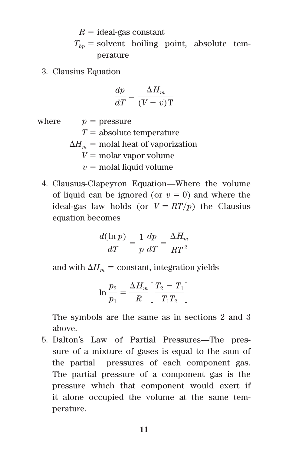$R =$  ideal-gas constant  $T_{bn}$  = solvent boiling point, absolute temperature

3. Clausius Equation

$$
\frac{dp}{dT} = \frac{\Delta H_m}{(V - v)T}
$$

where  $p =$  pressure

 $T =$ absolute temperature

 $\Delta H_m$  = molal heat of vaporization

 $V = \text{molar vapor volume}$ 

 $v =$  molal liquid volume

4. Clausius-Clapeyron Equation—Where the volume of liquid can be ignored (or  $v = 0$ ) and where the ideal-gas law holds (or  $V = RT/p$ ) the Clausius equation becomes

$$
\frac{d(\ln p)}{dT} = \frac{1}{p}\frac{dp}{dT} = \frac{\Delta H_m}{RT^2}
$$

and with  $\Delta H_m$  = constant, integration yields

$$
\ln \frac{p_2}{p_1} = \frac{\Delta H_m}{R} \left[ \frac{T_2 - T_1}{T_1 T_2} \right]
$$

The symbols are the same as in sections 2 and 3 above.

5. Dalton's Law of Partial Pressures—The pressure of a mixture of gases is equal to the sum of the partial pressures of each component gas. The partial pressure of a component gas is the pressure which that component would exert if it alone occupied the volume at the same temperature.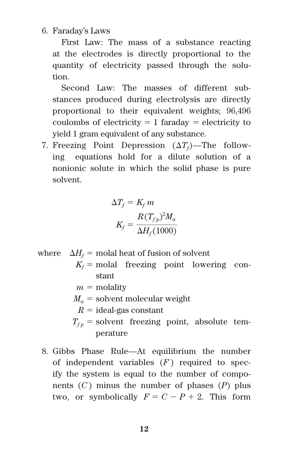#### 6. Faraday's Laws

First Law: The mass of a substance reacting at the electrodes is directly proportional to the quantity of electricity passed through the solution.

Second Law: The masses of different substances produced during electrolysis are directly proportional to their equivalent weights; 96,496 coulombs of electricity  $= 1$  faraday  $=$  electricity to yield 1 gram equivalent of any substance.

7. Freezing Point Depression  $(\Delta T_f)$ —The following equations hold for a dilute solution of a nonionic solute in which the solid phase is pure solvent.

$$
\Delta T_f = K_f m
$$

$$
K_f = \frac{R(T_{fp})^2 M_a}{\Delta H_f (1000)}
$$

- where  $\Delta H_f$  = molal heat of fusion of solvent
	- $K_f$  = molal freezing point lowering constant
	- $m =$  molality
	- $M_a$  = solvent molecular weight
		- $R =$ ideal-gas constant
	- $T_{fp}$  = solvent freezing point, absolute temperature
	- 8. Gibbs Phase Rule—At equilibrium the number of independent variables  $(F)$  required to specify the system is equal to the number of components (*C*) minus the number of phases (*P*) plus two, or symbolically  $F = C - P + 2$ . This form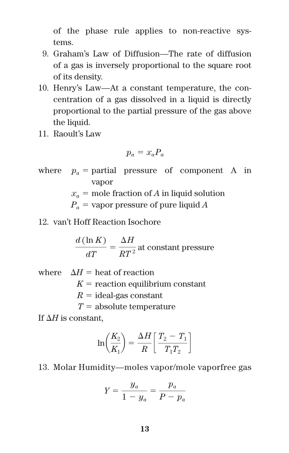of the phase rule applies to non-reactive systems.

- 9. Graham's Law of Diffusion—The rate of diffusion of a gas is inversely proportional to the square root of its density.
- 10. Henry's Law—At a constant temperature, the concentration of a gas dissolved in a liquid is directly proportional to the partial pressure of the gas above the liquid.
- 11. Raoult's Law

$$
p_a = x_a P_a
$$

where  $p_a$  = partial pressure of component A in vapor

 $x_a$  = mole fraction of *A* in liquid solution

 $P_a$  = vapor pressure of pure liquid *A* 

12. van't Hoff Reaction Isochore

 $\frac{d(\ln K)}{dT} = \frac{\Delta H}{RT^2}$  at constant pressure

where  $\Delta H =$  heat of reaction

 $K =$  reaction equilibrium constant

 $R =$  ideal-gas constant

 $T =$ absolute temperature

If  $\Delta H$  is constant.

$$
\ln\left(\frac{K_2}{K_1}\right) = \frac{\Delta H}{R} \left[ \frac{T_2 - T_1}{T_1 T_2} \right]
$$

13. Molar Humidity—moles vapor/mole vaporfree gas

$$
Y = \frac{y_a}{1 - y_a} = \frac{p_a}{P - p_a}
$$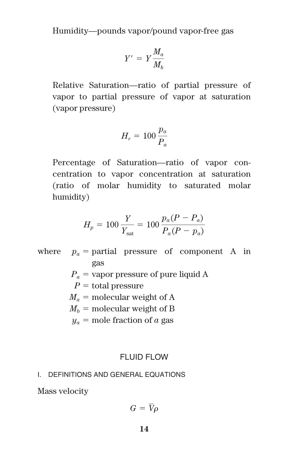Humidity—pounds vapor/pound vapor-free gas

$$
Y' = Y \frac{M_a}{M_b}
$$

Relative Saturation—ratio of partial pressure of vapor to partial pressure of vapor at saturation (vapor pressure)

$$
H_r = 100 \frac{p_a}{P_a}
$$

Percentage of Saturation—ratio of vapor concentration to vapor concentration at saturation (ratio of molar humidity to saturated molar humidity)

$$
H_p = 100 \frac{Y}{Y_{\text{sat}}} = 100 \frac{p_a (P - P_a)}{P_a (P - p_a)}
$$

where  $p_a$  = partial pressure of component A in gas

- $P_a$  = vapor pressure of pure liquid A
- $P =$  total pressure
- $M_a$  = molecular weight of A
- $M_h$  = molecular weight of B
- $y_a$  = mole fraction of *a* gas

# FLUID FLOW

#### I. DEFINITIONS AND GENERAL EQUATIONS

Mass velocity

$$
G=\overline{V}\rho
$$

**14**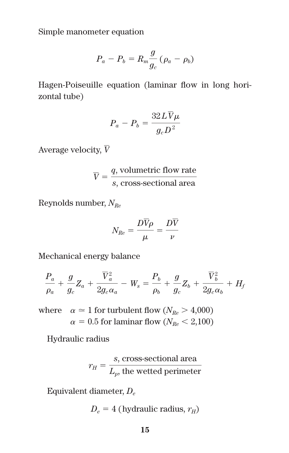Simple manometer equation

$$
P_a - P_b = R_m \frac{g}{g_c} (\rho_a - \rho_b)
$$

Hagen-Poiseuille equation (laminar flow in long horizontal tube)

$$
P_a - P_b = \frac{32L\overline{V}\mu}{g_cD^2}
$$

Average velocity, *V*

$$
\overline{V} = \frac{q, \text{volumetric flow rate}}{s, \text{cross-sectional area}}
$$

Reynolds number, *NRe*

$$
N_{Re}=\frac{D\overline{V}\rho}{\mu}=\frac{D\overline{V}}{\nu}
$$

Mechanical energy balance

$$
\frac{P_a}{\rho_a} + \frac{g}{g_c} Z_a + \frac{\overline{V}_a^2}{2g_c \alpha_a} - W_s = \frac{P_b}{\rho_b} + \frac{g}{g_c} Z_b + \frac{\overline{V}_b^2}{2g_c \alpha_b} + H_f
$$

where  $\alpha \simeq 1$  for turbulent flow ( $N_{Re} > 4,000$ )  $\alpha = 0.5$  for laminar flow ( $N_{Re} < 2,100$ )

Hydraulic radius

$$
r_H = \frac{s, \text{ cross-sectional area}}{L_p, \text{ the wetted perimeter}}
$$

Equivalent diameter, *De*

$$
D_e = 4
$$
 (hydraulic radius,  $r_H$ )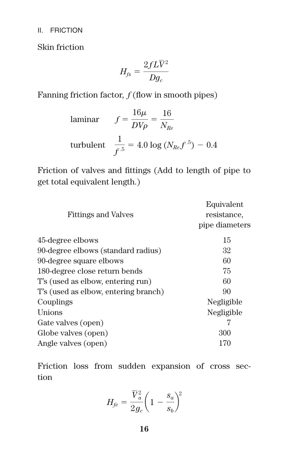II. FRICTION

Skin friction

$$
H_{fs}=\frac{2fL\overline{V}^2}{Dg_c}
$$

Fanning friction factor, *f* (flow in smooth pipes)

laminar 
$$
f = \frac{16\mu}{DV\rho} = \frac{16}{N_{Re}}
$$
  
turbulent  $\frac{1}{f^{-5}} = 4.0 \log (N_{Re} f^{-5}) - 0.4$ 

Friction of valves and fittings (Add to length of pipe to get total equivalent length.)

| <b>Fittings and Valves</b>           | Equivalent<br>resistance.<br>pipe diameters |
|--------------------------------------|---------------------------------------------|
| 45-degree elbows                     | 15                                          |
| 90-degree elbows (standard radius)   | 32                                          |
| 90-degree square elbows              | 60                                          |
| 180-degree close return bends        | 75                                          |
| T's (used as elbow, entering run)    | 60                                          |
| T's (used as elbow, entering branch) | 90                                          |
| Couplings                            | Negligible                                  |
| Unions                               | Negligible                                  |
| Gate valves (open)                   |                                             |
| Globe valves (open)                  | 300                                         |
| Angle valves (open)                  | 170                                         |

Friction loss from sudden expansion of cross section

$$
H_{fe} = \frac{\overline{V}_a^2}{2g_c}\bigg(1-\frac{s_a}{s_b}\bigg)^{\!\!2}
$$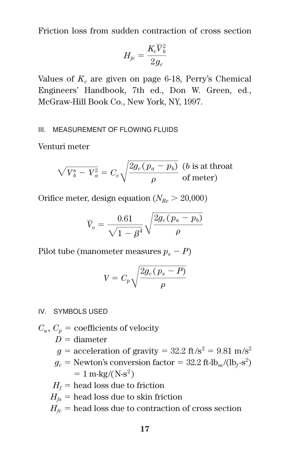Friction loss from sudden contraction of cross section

$$
H_{fc}=\frac{K_c\overline{V}_b^2}{2g_c}
$$

Values of  $K_c$  are given on page 6-18, Perry's Chemical Engineers' Handbook, 7th ed., Don W. Green, ed., McGraw-Hill Book Co., New York, NY, 1997.

#### III. MEASUREMENT OF FLOWING FLUIDS

Venturi meter

$$
\sqrt{V_b^s - V_a^2} = C_v \sqrt{\frac{2g_c(p_a - p_b)}{\rho}} \frac{(b \text{ is at throat})}{\text{of meter}}
$$

Orifice meter, design equation  $(N_{R_e} > 20,000)$ 

$$
\overline{V}_o = \frac{0.61}{\sqrt{1-\beta^4}}\sqrt{\frac{2g_c(p_a-p_b)}{\rho}}
$$

Pilot tube (manometer measures  $p_s - P$ )

$$
V = C_p \sqrt{\frac{2g_c(p_s - P)}{\rho}}
$$

IV. SYMBOLS USED

- $C_u$ ,  $C_p$  = coefficients of velocity
	- $D =$ diameter
	- $g =$  acceleration of gravity = 32.2 ft/s<sup>2</sup> = 9.81 m/s<sup>2</sup>
	- $g_c$  = Newton's conversion factor = 32.2 ft-lb<sub>m</sub>/(lb<sub>f</sub>-s<sup>2</sup>)  $= 1$  m-kg/(N-s<sup>2</sup>)
	- $H_f$  = head loss due to friction
	- $H<sub>fs</sub>$  = head loss due to skin friction
	- $H<sub>f</sub>$  = head loss due to contraction of cross section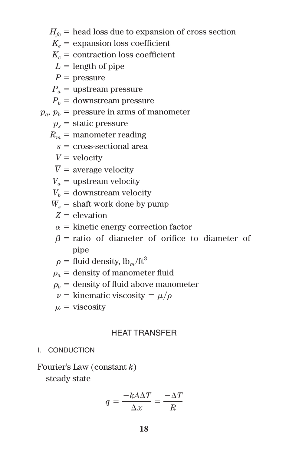$H_{fe}$  = head loss due to expansion of cross section

- $K_e$  = expansion loss coefficient
- $K_c$  = contraction loss coefficient
- $L =$  length of pipe
- $P =$  pressure

 $P_a$  = upstream pressure

 $P<sub>b</sub>$  = downstream pressure

 $p_a$ ,  $p_b$  = pressure in arms of manometer

 $p_s$  = static pressure

$$
R_m = \text{manometer reading}
$$

- $s =$  cross-sectional area
- $V =$  velocity
- $V =$  average velocity
- $V_a$  = upstream velocity

 $V_b$  = downstream velocity

- $W_s$  = shaft work done by pump
- $Z = \rho$  levation
- $\alpha$  = kinetic energy correction factor
- $\beta$  = ratio of diameter of orifice to diameter of pipe

$$
\rho = \text{fluid density}, \text{lb}_m/\text{ft}^3
$$

- $\rho_a$  = density of manometer fluid
- $\rho_h$  = density of fluid above manometer

$$
\nu = \text{kinematic viscosity} = \mu/\rho
$$

 $\mu = \text{viscosity}$ 

#### HEAT TRANSFER

#### I. CONDUCTION

Fourier's Law (constant *k*)

steady state

$$
q = \frac{-kA\Delta T}{\Delta x} = \frac{-\Delta T}{R}
$$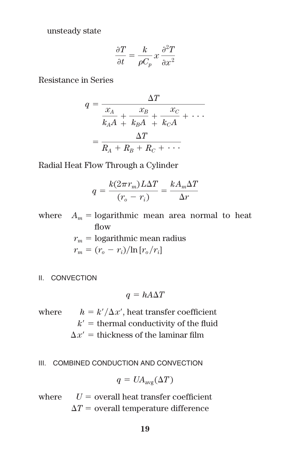unsteady state

$$
\frac{\partial T}{\partial t} = \frac{k}{\rho C_p} x \frac{\partial^2 T}{\partial x^2}
$$

Resistance in Series

$$
q = \frac{\Delta T}{\frac{x_A}{k_A A} + \frac{x_B}{k_B A} + \frac{x_C}{k_C A} + \cdots}
$$

$$
= \frac{\Delta T}{R_A + R_B + R_C + \cdots}
$$

Radial Heat Flow Through a Cylinder

$$
q = \frac{k(2\pi r_m)L\Delta T}{(r_o - r_i)} = \frac{kA_m\Delta T}{\Delta r}
$$

where  $A_m$  = logarithmic mean area normal to heat flow  $r_m$  = logarithmic mean radius  $r_m = (r_o - r_i)/\ln[r_o/r_i]$ 

II. CONVECTION

$$
q = hA\Delta T
$$

where  $h = k'/\Delta x'$ , heat transfer coefficient  $k'$  = thermal conductivity of the fluid  $\Delta x'$  = thickness of the laminar film

III. COMBINED CONDUCTION AND CONVECTION

$$
q = UA_{\text{avg}}(\Delta T)
$$

where  $U =$  overall heat transfer coefficient.  $\Delta T$  = overall temperature difference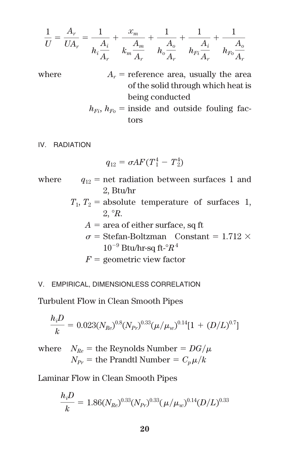$$
\frac{1}{U} = \frac{A_r}{UA_r} = \frac{1}{h_i \frac{A_i}{A_r}} + \frac{x_m}{k_m \frac{A_m}{A_r}} + \frac{1}{h_o \frac{A_o}{A_r}} + \frac{1}{h_{Fi} \frac{A_i}{A_r}} + \frac{1}{h_{Fo} \frac{A_o}{A_r}}
$$

where  $A_r$  = reference area, usually the area of the solid through which heat is being conducted

> $h_{Fi}$ ,  $h_{Fo}$  = inside and outside fouling factors

IV. RADIATION

$$
q_{12} = \sigma A F (T_1^4 - T_2^4)
$$

where  $q_{12}$  = net radiation between surfaces 1 and 2, Btu/hr

> $T_1, T_2$  = absolute temperature of surfaces 1, 2, *R*.

- $A = \text{area of either surface, sq ft}$
- $\sigma$  = Stefan-Boltzman Constant = 1.712  $\times$  $10^{-9}$  Btu/hr-sq ft- ${}^{\circ}R$ <sup>4</sup>

 $F =$  geometric view factor

#### V. EMPIRICAL, DIMENSIONLESS CORRELATION

Turbulent Flow in Clean Smooth Pipes

$$
\frac{h_i D}{k} = 0.023 (N_{Re})^{0.8} (N_{Pr})^{0.33} (\mu / \mu_w)^{0.14} [1 + (D/L)^{0.7}]
$$

where  $N_{Re}$  = the Reynolds Number =  $DG/\mu$  $N_{Pr}$  = the Prandtl Number =  $C_p\mu/k$ 

Laminar Flow in Clean Smooth Pipes

$$
\frac{h_i D}{k} = 1.86 (N_{Re})^{0.33} (N_{Pr})^{0.33} (\mu / \mu_w)^{0.14} (D/L)^{0.33}
$$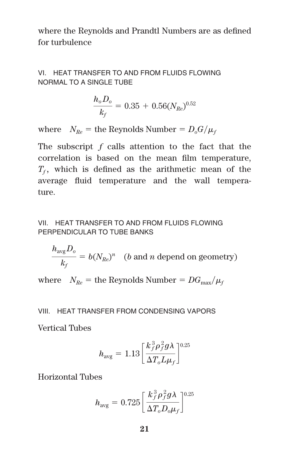where the Reynolds and Prandtl Numbers are as defined for turbulence

VI. HEAT TRANSFER TO AND FROM FLUIDS FLOWING NORMAL TO A SINGLE TUBE

$$
\frac{h_o D_o}{k_f} = 0.35\,+\,0.56 (N_{Re})^{0.52}
$$

where  $N_{Re}$  = the Reynolds Number =  $D_o G / \mu_f$ 

The subscript *f* calls attention to the fact that the correlation is based on the mean film temperature,  $T_f$ , which is defined as the arithmetic mean of the average fluid temperature and the wall temperature.

#### VII. HEAT TRANSFER TO AND FROM FLUIDS FLOWING PERPENDICULAR TO TUBE BANKS

 $\frac{h_{\text{avg}}D_o}{h} = b(N_{Re})^n$  (*b* and *n* depend on geometry)  $\frac{k_f}{k_f} = b(N_{Re})^n$ 

where  $\;\;N_{Re}=$  the Reynolds Number =  $DG_{\rm max}/\mu_{f}$ 

#### VIII. HEAT TRANSFER FROM CONDENSING VAPORS

Vertical Tubes

$$
h_{\text{avg}} = 1.13 \left[ \frac{k_f^3 \rho_f^2 g \lambda}{\Delta T_o L \mu_f} \right]^{0.25}
$$

Horizontal Tubes

$$
h_{\text{avg}} = 0.725 \left[ \frac{k_f^3 \rho_f^2 g \lambda}{\Delta T_o D_o \mu_f} \right]^{0.25}
$$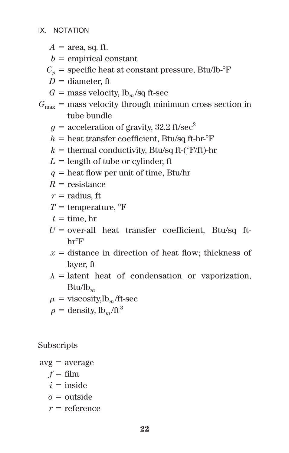- $A = \text{area}$ , sq. ft.
- $b =$  empirical constant
- $C_p$  = specific heat at constant pressure, Btu/lb- $\rm F$
- $D =$  diameter, ft
- $G =$  mass velocity,  $lb_m$ /sq ft-sec
- $G_{\text{max}}$  = mass velocity through minimum cross section in tube bundle
	- $q =$  acceleration of gravity, 32.2 ft/sec<sup>2</sup>
	- $h =$  heat transfer coefficient. Btu/sq ft-hr- $\mathrm{F}$
	- $k =$  thermal conductivity, Btu/sq ft-( ${}^{\circ}$ F/ft)-hr
	- $L =$  length of tube or cylinder, ft
	- $q =$  heat flow per unit of time, Btu/hr
	- $R =$  resistance
	- $r =$  radius, ft
	- $T =$  temperature,  ${}^{\circ}$ F
	- $t =$  time, hr
	- $U =$  over-all heat transfer coefficient, Btu/sq ft $hr^{\circ}F$
	- $x =$  distance in direction of heat flow; thickness of layer, ft
	- $\lambda$  = latent heat of condensation or vaporization, Btu/lb*<sup>m</sup>*
	- $\mu = \text{viscosity}, \text{lb}_m/\text{ft-sec}$
	- $\rho =$  density,  $lb_m / ft^3$

Subscripts

 $\mathrm{avg} = \mathrm{average}$ 

- $f = \text{film}$
- $i = \text{inside}$
- $o = \text{outside}$
- $r =$  reference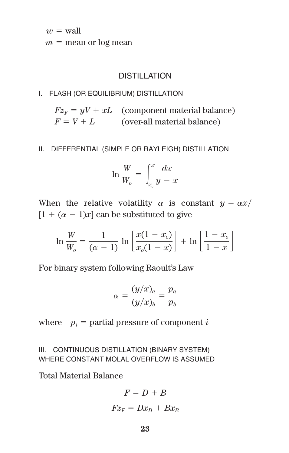$w =$  wall

 $m =$  mean or log mean

# DISTILL ATION

#### I. FLASH (OR EQUILIBRIUM) DISTILLATION

 $Fz_F = yV + xL$  (component material balance)  $F = V + L$  (over-all material balance)

### II. DIFFERENTIAL (SIMPLE OR RAYLEIGH) DISTILLATION

$$
\ln\frac{W}{W_o} = \int_{x_o}^{x} \frac{dx}{y - x}
$$

When the relative volatility  $\alpha$  is constant  $y = \alpha x/$  $[1 + (\alpha - 1)x]$  can be substituted to give

$$
\ln \frac{W}{W_o} = \frac{1}{(\alpha - 1)} \ln \left[ \frac{x(1 - x_o)}{x_o(1 - x)} \right] + \ln \left[ \frac{1 - x_o}{1 - x} \right]
$$

For binary system following Raoult's Law

$$
\alpha = \frac{(y/x)_a}{(y/x)_b} = \frac{p_a}{p_b}
$$

where  $p_i$  = partial pressure of component *i* 

III. CONTINUOUS DISTILLATION (BINARY SYSTEM) WHERE CONSTANT MOLAL OVERFLOW IS ASSUMED

Total Material Balance

$$
F = D + B
$$

$$
Fz_F = Dx_D + Bx_B
$$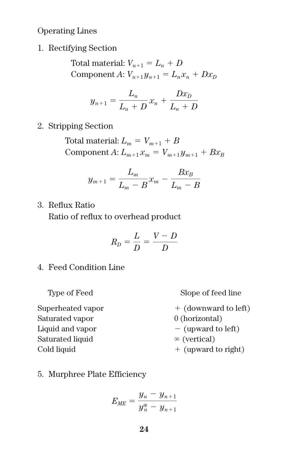Operating Lines

1. Rectifying Section

Total material:  $V_{n+1} = L_n + D$ Component *A*:  $V_{n+1}y_{n+1} = L_nx_n + Dx_D$ 

$$
y_{n+1} = \frac{L_n}{L_n + D} x_n + \frac{D x_D}{L_n + D}
$$

2. Stripping Section

Total material:  $L_m = V_{m+1} + B$ Component *A*:  $L_{m+1} x_m = V_{m+1} y_{m+1} + B x_B$ 

$$
y_{m+1} = \frac{L_m}{L_m - B} x_m - \frac{B x_B}{L_m - B}
$$

3. Reflux Ratio

Ratio of reflux to overhead product

$$
R_D = \frac{L}{D} = \frac{V - D}{D}
$$

4. Feed Condition Line

Type of Feed Slope of feed line

- Superheated vapor Saturated vapor 0 (horizontal) Liquid and vapor  $-$  (upward to left)  $Saturated liquid \qquad \qquad \infty \text{ (vertical)}$ Cold liquid
- (downward to left)
	-
	-
	-
	- (upward to right)
- 5. Murphree Plate Efficiency

$$
E_{\tiny ME} = \frac{y_n - y_{n+1}}{y_n^* - y_{n+1}}
$$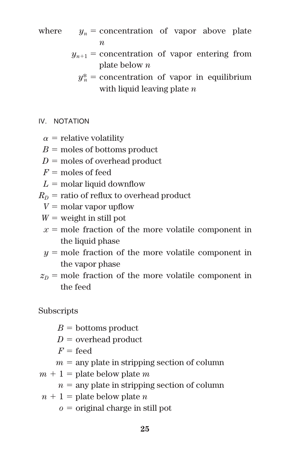where  $y_n$  = concentration of vapor above plate *n*

> $y_{n+1}$  = concentration of vapor entering from plate below *n*

 $y_n^*$  = concentration of vapor in equilibrium with liquid leaving plate *n*

- IV. NOTATION
	- $\alpha$  = relative volatility
	- $B =$  moles of bottoms product
	- $D =$  moles of overhead product
	- $F =$  moles of feed
	- $L =$  molar liquid downflow
- $R<sub>D</sub>$  = ratio of reflux to overhead product
	- $V =$  molar vapor upflow
	- $W =$  weight in still pot
	- $x =$  mole fraction of the more volatile component in the liquid phase
	- $y =$  mole fraction of the more volatile component in the vapor phase
- $z<sub>D</sub>$  = mole fraction of the more volatile component in the feed

Subscripts

- $B =$  bottoms product
- $D =$  overhead product
- $F = \text{fend}$
- $m =$ any plate in stripping section of column
- $m + 1$  = plate below plate *m* 
	- $n =$  any plate in stripping section of column
- $n + 1$  = plate below plate *n* 
	- $o =$  original charge in still pot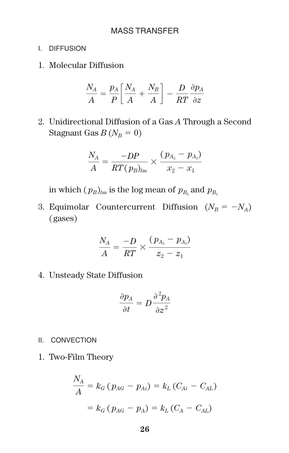# MASS TRANSFER

- I. DIFFUSION
- 1. Molecular Diffusion

$$
\frac{N_A}{A} = \frac{p_A}{P} \bigg[ \frac{N_A}{A} + \frac{N_B}{A} \bigg] - \frac{D}{RT} \frac{\partial p_A}{\partial z}
$$

2. Unidirectional Diffusion of a Gas *A* Through a Second Stagnant Gas  $B(N_B = 0)$ 

$$
\frac{N_A}{A} = \frac{-DP}{RT(p_B)_{lm}} \times \frac{(p_{A_2} - p_{A_1})}{x_2 - x_1}
$$

in which  $(p_B)_{lm}$  is the log mean of  $p_{B_2}$  and  $p_{B_1}$ 

3. Equimolar Countercurrent Diffusion  $(N_B = -N_A)$ (gases)

$$
\frac{N_A}{A} = \frac{-D}{RT} \times \frac{(p_{A_2} - p_{A_1})}{z_2 - z_1}
$$

4. Unsteady State Diffusion

$$
\frac{\partial p_A}{\partial t} = D \frac{\partial^2 p_A}{\partial z^2}
$$

- II. CONVECTION
- 1. Two-Film Theory

$$
\frac{N_A}{A} = k_G (p_{AG} - p_{Ai}) = k_L (C_{Ai} - C_{AL})
$$

$$
= k_G (p_{AG} - p_A) = k_L (C_A - C_{AL})
$$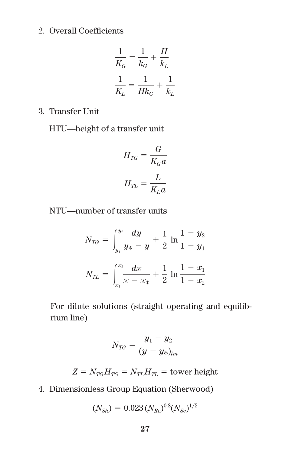# 2. Overall Coefficients

$$
\frac{1}{K_G} = \frac{1}{k_G} + \frac{H}{k_L}
$$

$$
\frac{1}{K_L} = \frac{1}{Hk_G} + \frac{1}{k_L}
$$

3. Transfer Unit

HTU—height of a transfer unit

$$
H_{TG} = \frac{G}{K_G a}
$$
  

$$
H_{TL} = \frac{L}{K_L a}
$$

NTU—number of transfer units

$$
N_{TG} = \int_{y_1}^{y_2} \frac{dy}{y_* - y} + \frac{1}{2} \ln \frac{1 - y_2}{1 - y_1}
$$

$$
N_{TL} = \int_{x_1}^{x_2} \frac{dx}{x - x_*} + \frac{1}{2} \ln \frac{1 - x_1}{1 - x_2}
$$

For dilute solutions (straight operating and equilibrium line)

$$
N_{TG} = \frac{y_1 - y_2}{(y - y_*)_{lm}}
$$

$$
Z = N_{TG}H_{TG} = N_{TL}H_{TL} = \text{tower height}
$$

4. Dimensionless Group Equation (Sherwood)

$$
(N_{Sh}) = 0.023 (N_{Re})^{0.8} (N_{Sc})^{1/3}
$$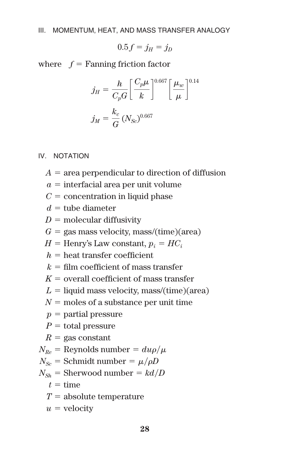$$
0.5f=j_H=j_D
$$

where  $f =$  Fanning friction factor

$$
j_H = \frac{h}{C_p G} \left[ \frac{C_p \mu}{k} \right]^{0.667} \left[ \frac{\mu_w}{\mu} \right]^{0.14}
$$

$$
j_M = \frac{k_c}{G} (N_{Sc})^{0.667}
$$

#### IV. NOTATION

- $A =$ area perpendicular to direction of diffusion
- $a =$  interfacial area per unit volume
- $C =$  concentration in liquid phase
- $d =$ tube diameter
- $D =$  molecular diffusivity
- $G =$  gas mass velocity, mass/(time)(area)
- $H =$  Henry's Law constant,  $p_i = H C_i$
- $h =$  heat transfer coefficient
- $k =$  film coefficient of mass transfer
- $K =$  overall coefficient of mass transfer
- $L =$  liquid mass velocity, mass/(time)(area)
- $N =$  moles of a substance per unit time
- $p =$  partial pressure
- $P =$  total pressure
- $R =$ gas constant
- $N_{Re}$  = Reynolds number =  $du\rho/\mu$
- $N_{Sc}$  = Schmidt number =  $\mu$ / $\rho$ *D*
- $N_{Sh}$  = Sherwood number =  $kd/D$ 
	- $t =$ time
	- $T =$ absolute temperature
	- $u =$  velocity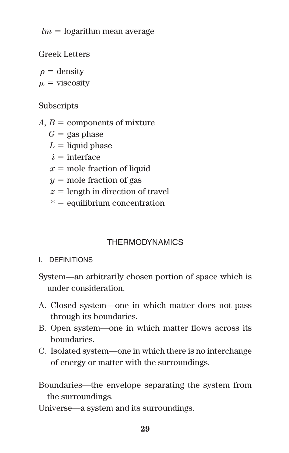$lm =$  logarithm mean average

Greek Letters

 $\rho =$  density

 $\mu$  = viscosity

# **Subscripts**

*A, B* = components of mixture

 $G =$ gas phase

 $L =$ liquid phase

 $i =$ interface

 $x =$  mole fraction of liquid

 $y =$  mole fraction of gas

 $z =$  length in direction of travel

 $* =$  equilibrium concentration

# **THERMODYNAMICS**

I. DEFINITIONS

System—an arbitrarily chosen portion of space which is under consideration.

- A. Closed system—one in which matter does not pass through its boundaries.
- B. Open system—one in which matter flows across its boundaries.
- C. Isolated system—one in which there is no interchange of energy or matter with the surroundings.

Boundaries—the envelope separating the system from the surroundings.

Universe—a system and its surroundings.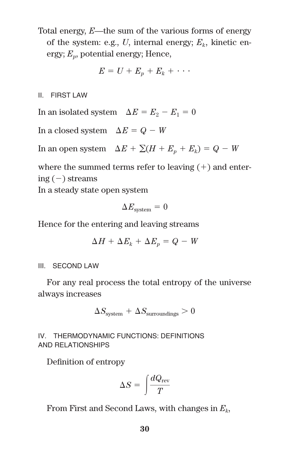Total energy, *E*—the sum of the various forms of energy of the system: e.g.,  $U$ , internal energy;  $E_k$ , kinetic energy;  $E<sub>v</sub>$ , potential energy; Hence,

$$
E = U + E_p + E_k + \cdots
$$

II. FIRST LAW

In an isolated system  $\Delta E = E_2 - E_1 = 0$ 

In a closed system  $\Delta E = Q - W$ 

In an open system  $\Delta E + \sum (H + E_p + E_k) = Q - W$ 

where the summed terms refer to leaving  $(+)$  and entering  $(-)$  streams

In a steady state open system

$$
\Delta E_{\rm system} = 0
$$

Hence for the entering and leaving streams

$$
\Delta H + \Delta E_k + \Delta E_p = Q - W
$$

#### III. SECOND LAW

For any real process the total entropy of the universe always increases

$$
\Delta S_{\text{system}} + \Delta S_{\text{surroundings}} > 0
$$

IV. THERMODYNAMIC FUNCTIONS: DEFINITIONS AND RELATIONSHIPS

Definition of entropy

$$
\Delta S = \int\!\!\frac{dQ_{\rm rev}}{T}
$$

From First and Second Laws, with changes in *Ek*,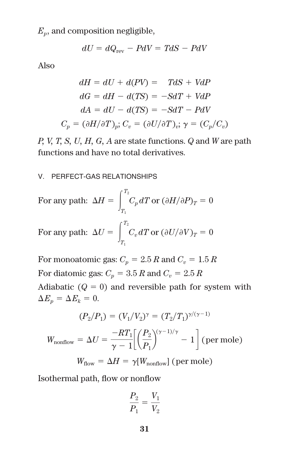$E_p$ , and composition negligible,

$$
dU = dQ_{\text{rev}} - PdV = TdS - PdV
$$

Also

$$
dH = dU + d(PV) = TdS + VdP
$$
  

$$
dG = dH - d(TS) = -SdT + VdP
$$
  

$$
dA = dU - d(TS) = -SdT - PdV
$$
  

$$
C_p = (\partial H/\partial T)_p; C_v = (\partial U/\partial T)_v; \gamma = (C_p/C_v)
$$

*P, V, T, S, U, H, G, A* are state functions. *Q* and *W* are path functions and have no total derivatives.

#### V. PERFECT-GAS RELATIONSHIPS

For any path: 
$$
\Delta H = \int_{T_1}^{T_2} C_p dT \text{ or } (\partial H/\partial P)_T = 0
$$
  
For any path: 
$$
\Delta U = \int_{T_1}^{T_2} C_p dT \text{ or } (\partial U/\partial V)_T = 0
$$

For monoatomic gas:  $C_p = 2.5 R$  and  $C_v = 1.5 R$ For diatomic gas:  $C_p = 3.5 R$  and  $C_v = 2.5 R$ Adiabatic  $(Q = 0)$  and reversible path for system with  $\Delta E_p = \Delta E_k = 0.$ 

$$
(P_2/P_1) = (V_1/V_2)^{\gamma} = (T_2/T_1)^{\gamma/(\gamma-1)}
$$

 $W_{\text{nonflow}} = \Delta U = \frac{-RT_1}{\gamma - 1} \left[ \left( \frac{P_2}{P_1} \right)^{(\gamma - 1)/\gamma} - 1 \right]$  (per mole)  $W_{flow} = \Delta H = \gamma[W_{nonflow}]$  (per mole)

Isothermal path, flow or nonflow

$$
\frac{P_2}{P_1}=\frac{V_1}{V_2}
$$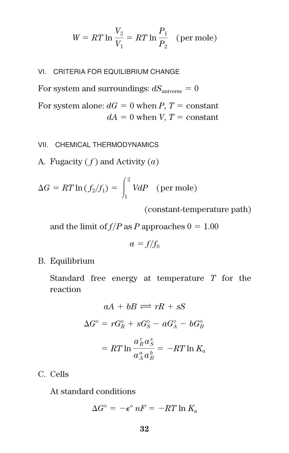$$
W = RT \ln \frac{V_2}{V_1} = RT \ln \frac{P_1}{P_2}
$$
 (per mole)

#### VI. CRITERIA FOR EQUILIBRIUM CHANGE

For system and surroundings:  $dS_{\text{universe}} = 0$ 

For system alone:  $dG = 0$  when *P*, *T* = constant  $dA = 0$  when *V*,  $T = constant$ 

#### VII. CHEMICAL THERMODYNAMICS

A. Fugacity ( *f* ) and Activity (*a*)

$$
\Delta G = RT \ln \left( \frac{f_2}{f_1} \right) = \int_1^2 V dP \quad \text{(per mole)}
$$

(constant-temperature path)

and the limit of  $f/P$  as  $P$  approaches  $0 = 1.00$ 

$$
a = f/f_0
$$

B. Equilibrium

Standard free energy at temperature *T* for the reaction

$$
aA + bB \rightleftharpoons rR + sS
$$
  
\n
$$
\Delta G^{\circ} = rG_R^{\circ} + sG_S^{\circ} - aG_A^{\circ} - bG_B^{\circ}
$$
  
\n
$$
= RT \ln \frac{a_R^r a_S^s}{a_A^a a_B^b} = -RT \ln K_a
$$

C. Cells

At standard conditions

$$
\Delta G^{\circ} = -\epsilon^{\circ} nF = -RT \ln K_a
$$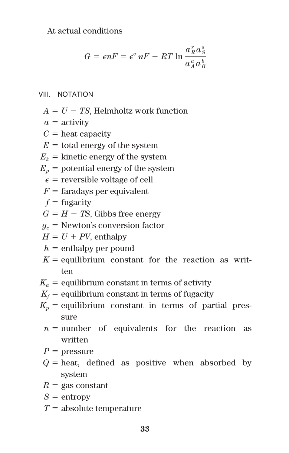# At actual conditions

$$
G = \epsilon nF = \epsilon^{\circ} nF - RT \ln \frac{a_R^r a_S^s}{a_A^a a_B^b}
$$

#### VIII. NOTATION

- $A = U TS$ , Helmholtz work function
- $a =$  activity
- $C =$  heat capacity
- $E =$  total energy of the system
- $E_k$  = kinetic energy of the system
- $E_p$  = potential energy of the system
	- $\epsilon$  = reversible voltage of cell
- $F =$  faradays per equivalent
- $f$  = fugacity
- $G = H TS$ , Gibbs free energy
- $g_c$  = Newton's conversion factor

 $H = U + PV$ , enthalpy

- $h =$ enthalpy per pound
- $K =$  equilibrium constant for the reaction as written
- $K_a$  = equilibrium constant in terms of activity
- $K_f$  = equilibrium constant in terms of fugacity
- $K_p$  = equilibrium constant in terms of partial pressure
	- $n =$  number of equivalents for the reaction as written
	- $P =$  pressure
	- $Q =$  heat, defined as positive when absorbed by system
	- $R =$  gas constant
	- $S =$ entropy
	- $T =$ absolute temperature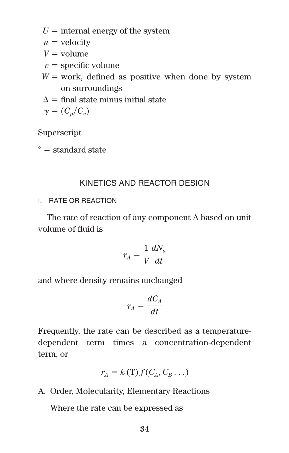$U =$  internal energy of the system

 $u =$  velocity

 $V =$  volume

- $v =$ specific volume
- $W =$  work, defined as positive when done by system on surroundings
- $\Lambda =$  final state minus initial state

$$
\gamma = (C_p/C_v)
$$

Superscript

 $\degree$  = standard state

# KINETICS AND REACTOR DESIGN

I. RATE OR REACTION

The rate of reaction of any component A based on unit volume of fluid is

$$
r_A = \frac{1}{V} \frac{dN_a}{dt}
$$

and where density remains unchanged

$$
r_A = \frac{dC_A}{dt}
$$

Frequently, the rate can be described as a temperaturedependent term times a concentration-dependent term, or

$$
r_A = k(T) f(C_A, C_B \dots)
$$

A. Order, Molecularity, Elementary Reactions

Where the rate can be expressed as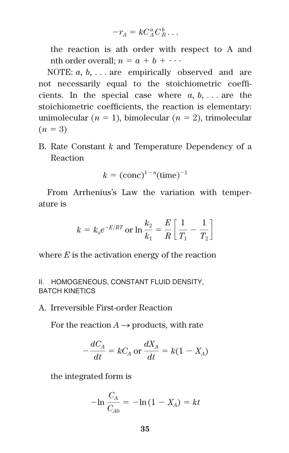$$
-r_A = kC_A^a C_B^b \dots
$$

the reaction is ath order with respect to A and nth order overall;  $n = a + b + \cdots$ 

NOTE: *a, b,* . . . are empirically observed and are not necessarily equal to the stoichiometric coefficients. In the special case where  $a, b, \ldots$  are the stoichiometric coefficients, the reaction is elementary: unimolecular  $(n = 1)$ , bimolecular  $(n = 2)$ , trimolecular  $(n = 3)$ 

B. Rate Constant *k* and Temperature Dependency of a Reaction

$$
k = (conc)^{1-n} (time)^{-1}
$$

From Arrhenius's Law the variation with temperature is

$$
k = k_0 e^{-E/RT} \text{ or } \ln \frac{k_2}{k_1} = \frac{E}{R} \left[ \frac{1}{T_1} - \frac{1}{T_2} \right]
$$

where *E* is the activation energy of the reaction

### II. HOMOGENEOUS, CONSTANT FLUID DENSITY, BATCH KINETICS

A. Irreversible First-order Reaction

For the reaction  $A \rightarrow$  products, with rate

$$
-\frac{dC_A}{dt} = kC_A \text{ or } \frac{dX_A}{dt} = k(1 - X_A)
$$

the integrated form is

$$
-\ln \frac{C_A}{C_{A0}} = -\ln (1 - X_A) = kt
$$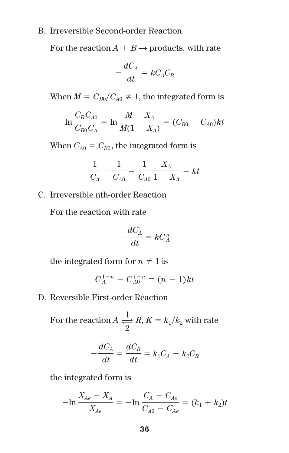#### B. Irreversible Second-order Reaction

For the reaction  $A + B \rightarrow$  products, with rate

$$
-\frac{dC_A}{dt} = kC_A C_B
$$

When  $M = C_{B0}/C_{A0} \neq 1$ , the integrated form is

$$
\ln \frac{C_B C_{A0}}{C_{B0} C_A} = \ln \frac{M - X_A}{M(1 - X_A)} = (C_{B0} - C_{A0})kt
$$

When  $C_{A0} = C_{B0}$ , the integrated form is

$$
\frac{1}{C_A} - \frac{1}{C_{A0}} = \frac{1}{C_{A0}} \frac{X_A}{1 - X_A} = kt
$$

C. Irreversible nth-order Reaction

For the reaction with rate

$$
-\frac{dC_A}{dt} = kC_A^n
$$

the integrated form for  $n \neq 1$  is

$$
C_A^{1-n} - C_{A0}^{1-n} = (n-1)kt
$$

D. Reversible First-order Reaction

For the reaction  $A \stackrel{1}{\rightleftharpoons} R$ ,  $K = k_1/k_2$  with rate 2

$$
-\frac{dC_A}{dt} = \frac{dC_R}{dt} = k_1C_A - k_2C_R
$$

the integrated form is

$$
-\ln \frac{X_{Ae} - X_A}{X_{Ae}} = -\ln \frac{C_A - C_{Ae}}{C_{A0} - C_{Ae}} = (k_1 + k_2)t
$$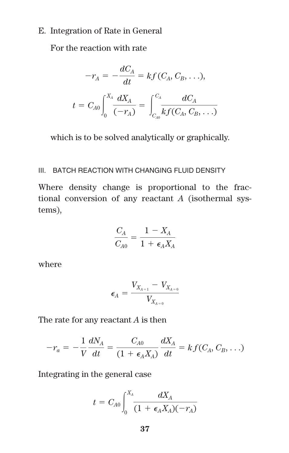# E. Integration of Rate in General

For the reaction with rate

$$
-r_A = -\frac{dC_A}{dt} = kf(C_A, C_B, \ldots),
$$

$$
t = C_{A0} \int_0^{X_A} \frac{dX_A}{(-r_A)} = \int_{C_{ab}}^{C_A} \frac{dC_A}{kf(C_A, C_B, \ldots)}
$$

which is to be solved analytically or graphically.

#### III. BATCH REACTION WITH CHANGING FLUID DENSITY

Where density change is proportional to the fractional conversion of any reactant *A* (isothermal systems),

$$
\frac{C_A}{C_{A0}} = \frac{1 - X_A}{1 + \epsilon_A X_A}
$$

where

$$
\epsilon_{\!A} = \frac{V_{X_{A=1}} - V_{X_{A=0}}}{V_{X_{A=0}}}
$$

The rate for any reactant *A* is then

$$
-r_a = -\frac{1}{V} \frac{dN_A}{dt} = \frac{C_{A0}}{(1 + \epsilon_A X_A)} \frac{dX_A}{dt} = k f(C_A, C_B, \ldots)
$$

Integrating in the general case

$$
t = C_{A0} \int_0^{X_A} \frac{dX_A}{(1 + \epsilon_A X_A)(-r_A)}
$$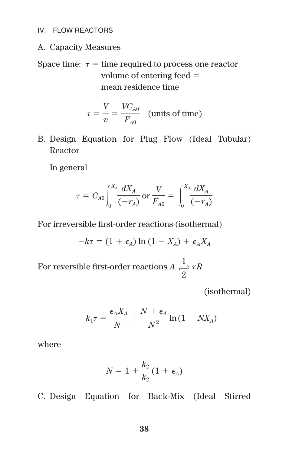#### IV. FLOW REACTORS

- A. Capacity Measures
- Space time:  $\tau$  = time required to process one reactor volume of entering feed mean residence time

$$
\tau = \frac{V}{v} = \frac{V C_{A0}}{F_{A0}} \quad \text{(units of time)}
$$

B. Design Equation for Plug Flow (Ideal Tubular) Reactor

In general

$$
\tau = C_{A0} \int_0^{X_A} \frac{dX_A}{(-r_A)} \,\text{or}\, \frac{V}{F_{A0}} = \int_0^{X_A} \frac{dX_A}{(-r_A)}
$$

For irreversible first-order reactions (isothermal)

$$
-k\tau = (1 + \epsilon_A) \ln (1 - X_A) + \epsilon_A X_A
$$

For reversible first-order reactions  $A \frac{1}{2} rR$ 

(isothermal)

$$
-k_1 \tau = \frac{\epsilon_A X_A}{N} + \frac{N + \epsilon_A}{N^2} \ln(1 - N X_A)
$$

where

$$
N=1+\frac{k_2}{k_2}(1+\epsilon_A)
$$

C. Design Equation for Back-Mix (Ideal Stirred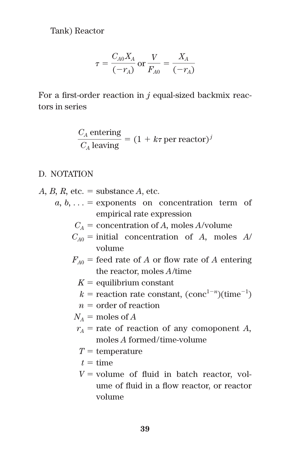Tank) Reactor

$$
\tau = \frac{C_{A0}X_A}{(-r_A)} \text{ or } \frac{V}{F_{A0}} = \frac{X_A}{(-r_A)}
$$

For a first-order reaction in *j* equal-sized backmix reactors in series

$$
\frac{C_A \text{ entering}}{C_A \text{ leaving}} = (1 + k\tau \text{ per reactor})^j
$$

# D. NOTATION

- $A, B, R$ , etc.  $=$  substance  $A$ , etc.
	- $a, b, \ldots$  = exponents on concentration term of empirical rate expression
		- $C_A$  = concentration of *A*, moles *A*/volume
		- $C_{40}$  = initial concentration of *A*, moles *A*/ volume
		- $F_{A0}$  = feed rate of *A* or flow rate of *A* entering the reactor, moles *A*/time
			- $K =$  equilibrium constant
			- $k =$  reaction rate constant, (conc<sup>1-n</sup>)(time<sup>-1</sup>)
			- $n =$  order of reaction
		- $N_A$  = moles of *A*
		- $r_A$  = rate of reaction of any comoponent *A*, moles *A* formed/time-volume
			- $T =$  temperature
			- $t =$ time
			- $V =$  volume of fluid in batch reactor, volume of fluid in a flow reactor, or reactor volume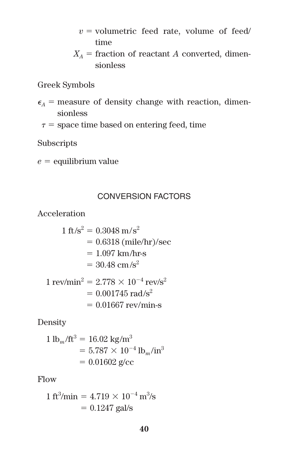- $v =$  volumetric feed rate, volume of feed/ time
- $X_A$  = fraction of reactant *A* converted, dimensionless

Greek Symbols

- $\epsilon_A$  = measure of density change with reaction, dimensionless
- $\tau$  = space time based on entering feed, time

Subscripts

 $e =$  equilibrium value

# CONVERSION FACTORS

Acceleration

$$
1 ft/s2 = 0.3048 m/s2
$$
  
= 0.6318 (mile/hr)/sec  
= 1.097 km/hr-s  
= 30.48 cm/s<sup>2</sup>  

$$
1 rev/min2 = 2.778 \times 10-4 rev/s2
$$
  
= 0.001745 rad/s<sup>2</sup>  
= 0.01667 rev/min-s

Density

$$
1 lbm/ft3 = 16.02 kg/m3
$$
  
= 5.787 × 10<sup>-4</sup> lb<sub>m</sub>/in<sup>3</sup>  
= 0.01602 g/cc

Flow

$$
1 \text{ ft}^3/\text{min} = 4.719 \times 10^{-4} \text{ m}^3/\text{s}
$$

$$
= 0.1247 \text{ gal/s}
$$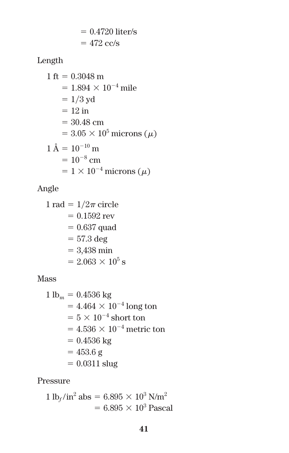$$
= 0.4720
$$
 liter/s  

$$
= 472
$$
 cc/s

Length

1 ft 0.3048 m 1.894 10<sup>4</sup> mile 1-3 yd 12 in 30.48 cm 3.05 105 microns () 1 Å 10<sup>10</sup> m 10<sup>8</sup> cm 1 10<sup>4</sup> microns ()

# Angle

 $1 rad = 1/2\pi$  circle  $= 0.1592$  rev  $= 0.637$  quad  $=57.3 \deg$  $= 3,438 \text{ min}$  $= 2.063 \times 10^5$  s

# Mass

1 lb*<sup>m</sup>* 0.4536 kg 4.464 10<sup>4</sup> long ton 5 10<sup>4</sup> short ton 4.536 10<sup>4</sup> metric ton 0.4536 kg 453.6 g 0.0311 slug

Pressure

$$
1 \,\text{lb}_f/\text{in}^2 \text{ abs} = 6.895 \times 10^3 \,\text{N/m}^2
$$

$$
= 6.895 \times 10^3 \,\text{Pascal}
$$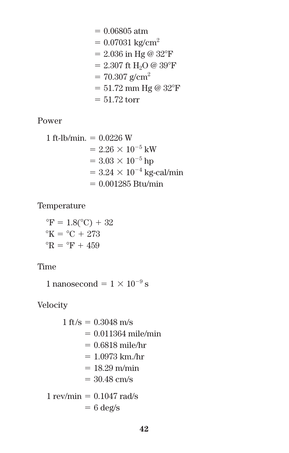0.06805 atm 0.07031 kg/cm2 2.036 in Hg @ 32F 2.307 ft H2O @ 39F 70.307 g/cm2 51.72 mm Hg @ 32F 51.72 torr

Power

1 ft-lb/min. = 
$$
0.0226
$$
 W  
\n=  $2.26 \times 10^{-5}$  kW  
\n=  $3.03 \times 10^{-5}$  hp  
\n=  $3.24 \times 10^{-4}$  kg-callmin  
\n=  $0.001285$  Btu/min

Temperature

 ${}^{\circ}$ F = 1.8( ${}^{\circ}$ C) + 32  $\mathrm{^{\circ}K} = \mathrm{^{\circ}C} + 273$  ${}^{\circ}R = {}^{\circ}F + 459$ 

Time

1 nanosecond =  $1 \times 10^{-9}$  s

Velocity

1 ft/s =  $0.3048$  m/s  $= 0.011364$  mile/min  $= 0.6818$  mile/hr  $= 1.0973$  km./hr  $= 18.29$  m/min  $= 30.48$  cm/s  $1$  rev/min  $= 0.1047$  rad/s  $= 6 \text{ deg/s}$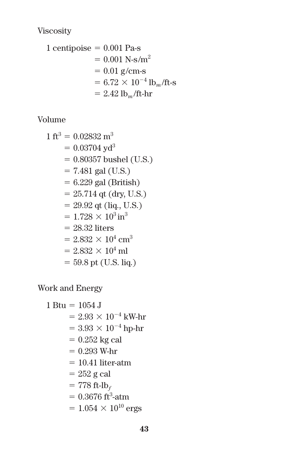Viscosity

1 centipoise 0.001 Pa-s 0.001 N-s/m<sup>2</sup> 0.01 g/cm-s 6.72 10<sup>4</sup> lb*<sup>m</sup>* /ft-s 2.42 lb*<sup>m</sup>* /ft-hr

Volume

1 ft<sup>3</sup> 0.02832 m3 0.03704 yd3 0.80357 bushel (U.S.) 7.481 gal (U.S.) 6.229 gal (British) 25.714 qt (dry, U.S.) 29.92 qt (liq., U.S.) 1.728 103 in3 28.32 liters 2.832 104 cm3 2.832 104 ml 59.8 pt (U.S. liq.)

Work and Energy

1 Btu = 1054 J  
\n= 
$$
2.93 \times 10^{-4}
$$
 kW-hr  
\n=  $3.93 \times 10^{-4}$  hp-hr  
\n=  $0.252$  kg cal  
\n=  $0.293$  W-hr  
\n= 10.41 literatm  
\n=  $252$  g cal  
\n= 778 ft-lb<sub>f</sub>  
\n=  $0.3676$  ft<sup>3</sup>-atm  
\n=  $1.054 \times 10^{10}$  ergs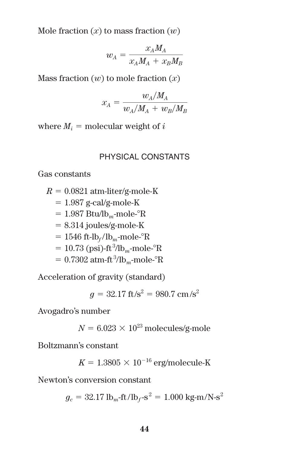Mole fraction  $(x)$  to mass fraction  $(w)$ 

$$
w_{\rm A}=\frac{x_{\rm A}M_{\rm A}}{x_{\rm A}M_{\rm A}+x_{\rm B}M_{\rm B}}
$$

Mass fraction (*w*) to mole fraction (*x*)

$$
x_A = \frac{w_A/M_A}{w_A/M_A + w_B/M_B}
$$

where  $M_i$  = molecular weight of *i* 

## PHYSICAL CONSTANTS

Gas constants

 $R = 0.0821$  atm-liter/g-mole-K

 $= 1.987$  g-cal/g-mole-K

- $= 1.987$  Btu/lb<sub>m</sub>-mole- $\mathrm{R}$
- $= 8.314$  joules/g-mole-K
- $= 1546$  ft-lb<sub>f</sub>/lb<sub>m</sub>-mole- $\mathrm{R}$
- $= 10.73$  (psi)-ft<sup>3</sup>/lb<sub>m</sub>-mole-<sup>o</sup>R
- $= 0.7302$  atm-ft<sup>3</sup>/lb<sub>m</sub>-mole-°R

Acceleration of gravity (standard)

$$
g = 32.17 \, \text{ft/s}^2 = 980.7 \, \text{cm/s}^2
$$

Avogadro's number

 $N = 6.023 \times 10^{23}$  molecules/g-mole

Boltzmann's constant

$$
K = 1.3805 \times 10^{-16}
$$
 erg/molecule-K

Newton's conversion constant

$$
g_c = 32.17 \text{ lb}_m\text{-ft/lb}_f\text{-s}^2 = 1.000 \text{ kg-m/N-s}^2
$$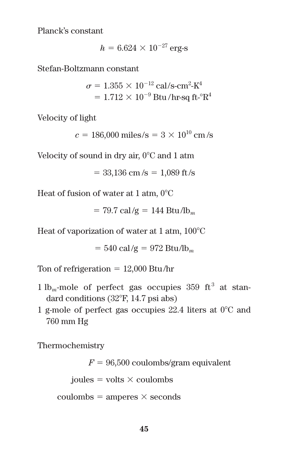Planck's constant

$$
h = 6.624 \times 10^{-27} \,\mathrm{erg\text{-}s}
$$

Stefan-Boltzmann constant

$$
\sigma = 1.355 \times 10^{-12} \text{ cal/s-cm}^2\text{-K}^4
$$
  
= 1.712 × 10<sup>-9</sup> Btu/hr-sq ft<sup>-°</sup>R<sup>4</sup>

Velocity of light

 $c = 186,000$  miles/s =  $3 \times 10^{10}$  cm/s

Velocity of sound in dry air, 0°C and 1 atm

$$
= 33,136
$$
 cm/s  $= 1,089$  ft/s

Heat of fusion of water at 1 atm,  $0^{\circ}$ C

$$
= 79.7 \text{ cal/g} = 144 \text{ Btu/lb}_{m}
$$

Heat of vaporization of water at 1 atm, 100°C

$$
= 540 \text{ cal/g} = 972 \text{ Btu/lb}_{m}
$$

Ton of refrigeration  $= 12,000$  Btu/hr

- $1 lb<sub>m</sub>$ -mole of perfect gas occupies 359 ft<sup>3</sup> at standard conditions (32F, 14.7 psi abs)
- 1 g-mole of perfect gas occupies  $22.4$  liters at  $0^{\circ}$ C and 760 mm Hg

Thermochemistry

 $F = 96,500$  coulombs/gram equivalent

 $joules = volts \times coulombs$ 

 $\text{coulombs} = \text{amperes} \times \text{seconds}$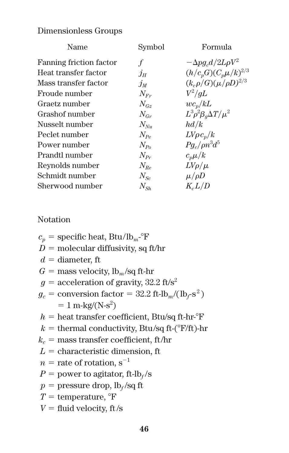# Dimensionless Groups

| Name                    | Symbol                      | Formula                               |
|-------------------------|-----------------------------|---------------------------------------|
| Fanning friction factor |                             | $-\Delta p g_c d/2L\rho V^2$          |
| Heat transfer factor    | $j_H$                       | $(h/c_pG)(C_p\mu/k)^{2/3}$            |
| Mass transfer factor    | $j_M$                       | $(k_c \rho / G) (\mu / \rho D)^{2/3}$ |
| Froude number           | $N_{F_r}$                   | $V^2/dL$                              |
| Graetz number           | $N_{\alpha*}$               | $wc_n/kL$                             |
| Grashof number          | $N_{Gr}$                    | $L^3 \rho^2 \beta_a \Delta T / \mu^2$ |
| Nusselt number          | $N_{\scriptscriptstyle Nu}$ | hd/k                                  |
| Peclet number           | $N_{p_o}$                   | $L V\rho c_p/k$                       |
| Power number            | $N_{Pa}$                    | $Pa$ ./ $\rho n^3d^5$                 |
| Prandtl number          | $N_{p_r}$                   | $c_n\mu/k$                            |
| Reynolds number         | $N_{Re}$                    | $LV\rho/\mu$                          |
| Schmidt number          | $N_{S_2}$                   | $\mu/\rho D$                          |
| Sherwood number         | $N_{\rm Sh}$                | $K_{c}L/D$                            |

# Notation

- $c_n$  = specific heat, Btu/lb<sub>m</sub>- $\mathrm{F}$
- $D =$  molecular diffusivity, sq ft/hr
- $d =$ diameter, ft
- $G =$  mass velocity,  $lb_m$ /sq ft-hr
- $g =$  acceleration of gravity, 32.2 ft/s<sup>2</sup>
- $g_c$  = conversion factor = 32.2 ft-lb<sub>m</sub>/(lb<sub>f</sub>-s<sup>2</sup>)  $= 1$  m-kg/(N-s<sup>2</sup>)
- $h =$  heat transfer coefficient, Btu/sq ft-hr- $\mathrm{F}$
- $k =$  thermal conductivity, Btu/sq ft-( $\mathrm{F}/\mathrm{ft}$ )-hr
- $k_c$  = mass transfer coefficient, ft/hr
- $L =$  characteristic dimension, ft
- $n =$  rate of rotation,  $s^{-1}$
- $P =$  power to agitator, ft-lb<sub>f</sub>/s
- $p =$  pressure drop,  $\frac{1}{p}$  /sq ft
- $T =$  temperature,  ${}^{\circ}$ F
- $V =$  fluid velocity, ft/s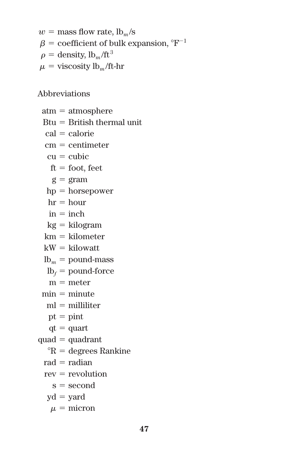$w =$  mass flow rate,  $lb_m/s$  $\beta$  = coefficient of bulk expansion,  $\Gamma^{-1}$  $\rho =$  density,  $lb_m / ft^3$  $u = \text{viscosity lb}_m/\text{ft-hr}$ 

Abbreviations

 $atm = atmosphere$  $Btu = British thermal unit$  $cal =$  calorie  $cm = centimeter$  $cu = cubic$  $ft = foot. feet$  $g = \text{gram}$  $hp =$  horsepower  $hr = hour$  $in = inch$  $kg = kilogram$  $km = kilometer$  $kW =$ kilowatt  $lb<sub>m</sub> = pound-mass$  $lb_f$  = pound-force  $m =$  meter  $min = minute$  $ml = milliliter$  $pt = pint$  $qt = quart$  $quad =$  quadrant  ${}^{\circ}R$  = degrees Rankine  $rad = radian$  $rev = revolution$  $s =$ second  $yd = yard$  $\mu =$  micron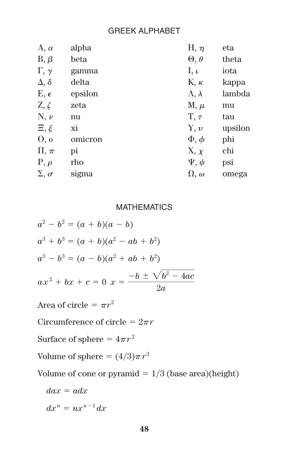# GREEK ALPHABET

| $A, \alpha$         | alpha   | H, $\eta$           | eta     |
|---------------------|---------|---------------------|---------|
| $B, \beta$          | beta    | $\Theta, \theta$    | theta   |
| $\Gamma, \gamma$    | gamma   | I, $\iota$          | iota    |
| $\Delta, \delta$    | delta   | $K, \kappa$         | kappa   |
| $E, \epsilon$       | epsilon | $\Lambda, \lambda$  | lambda  |
| $Z, \zeta$          | zeta    | $M, \mu$            | mu      |
| $N, \nu$            | nu      | $T, \tau$           | tau     |
| $\Xi, \xi$          | хi      | Y, v                | upsilon |
| O, o                | omicron | $\Phi$ , $\phi$     | phi     |
| $\Pi, \pi$          | pi      | X, x                | chi     |
| $P, \rho$           | rho     | $\Psi$ , $\Psi$     | psi     |
| $\Sigma$ , $\sigma$ | sigma   | $\Omega$ , $\omega$ | omega   |

# **MATHEMATICS**

$$
a2 - b2 = (a + b)(a - b)
$$
  
\n
$$
a3 + b3 = (a + b)(a2 - ab + b2)
$$
  
\n
$$
a3 - b3 = (a - b)(a2 + ab + b2)
$$
  
\n
$$
ax2 + bx + c = 0 \ x = \frac{-b \pm \sqrt{b2 - 4ac}}{2a}
$$

Area of circle  $= \pi r^2$ 

Circumference of circle  $= 2\pi r$ 

Surface of sphere =  $4\pi r^2$ 

Volume of sphere  $=(4/3)\pi r^3$ 

Volume of cone or pyramid  $= 1/3$  (base area)(height)

$$
dax = adx
$$

$$
dx^n = nx^{n-1}dx
$$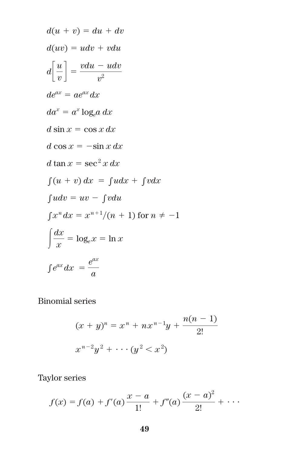$$
d(u + v) = du + dv
$$
  
\n
$$
d(uv) = udv + vdu
$$
  
\n
$$
d\left[\frac{u}{v}\right] = \frac{vdu - udv}{v^2}
$$
  
\n
$$
de^{ax} = ae^{ax}dx
$$
  
\n
$$
da^x = a^x \log_e a \, dx
$$
  
\n
$$
d \sin x = \cos x \, dx
$$
  
\n
$$
d \cos x = -\sin x \, dx
$$
  
\n
$$
d \tan x = \sec^2 x \, dx
$$
  
\n
$$
\int (u + v) \, dx = \int udx + \int vdx
$$
  
\n
$$
\int u dv = uv - \int vdu
$$
  
\n
$$
\int x^n dx = x^{n+1}/(n+1) \text{ for } n \neq -1
$$
  
\n
$$
\int \frac{dx}{x} = \log_e x = \ln x
$$
  
\n
$$
\int e^{ax} dx = \frac{e^{ax}}{a}
$$

Binomial series

$$
(x + y)^n = x^n + nx^{n-1}y + \frac{n(n - 1)}{2!}
$$
  

$$
x^{n-2}y^2 + \cdots + (y^2 < x^2)
$$

Taylor series

$$
f(x) = f(a) + f'(a) \frac{x-a}{1!} + f''(a) \frac{(x-a)^2}{2!} + \cdots
$$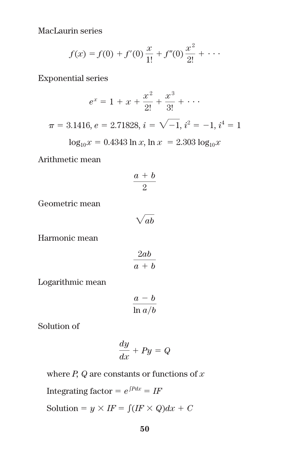MacLaurin series

$$
f(x) = f(0) + f'(0)\frac{x}{1!} + f''(0)\frac{x^2}{2!} + \cdots
$$

Exponential series

$$
e^x = 1 + x + \frac{x^2}{2!} + \frac{x^3}{3!} + \cdots
$$
  

$$
\pi = 3.1416, e = 2.71828, i = \sqrt{-1}, i^2 = -1, i^4 = 1
$$
  

$$
\log_{10} x = 0.4343 \ln x, \ln x = 2.303 \log_{10} x
$$

Arithmetic mean

$$
\frac{a+b}{2}
$$

Geometric mean

$$
\sqrt{ab}
$$

Harmonic mean

$$
\frac{2ab}{a+b}
$$

Logarithmic mean

$$
\frac{a-b}{\ln a/b}
$$

Solution of

$$
\frac{dy}{dx} + Py = Q
$$

where *P, Q* are constants or functions of *x*

Integrating factor  $= e^{\int P dx} = I$ *F* 

Solution =  $y \times IF = \int (IF \times Q) dx + C$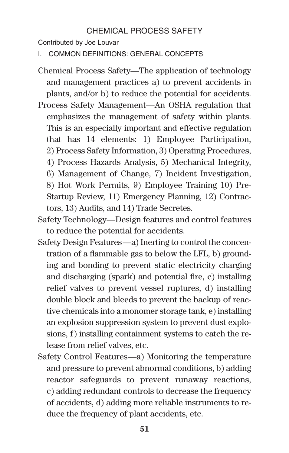# CHEMICAL PROCESS SAFETY

Contributed by Joe Louvar

I. COMMON DEFINITIONS: GENERAL CONCEPTS

- Chemical Process Safety—The application of technology and management practices a) to prevent accidents in plants, and/or b) to reduce the potential for accidents.
- Process Safety Management—An OSHA regulation that emphasizes the management of safety within plants. This is an especially important and effective regulation that has 14 elements: 1) Employee Participation, 2) Process Safety Information, 3) Operating Procedures, 4) Process Hazards Analysis, 5) Mechanical Integrity, 6) Management of Change, 7) Incident Investigation, 8) Hot Work Permits, 9) Employee Training 10) Pre-Startup Review, 11) Emergency Planning, 12) Contractors, 13) Audits, and 14) Trade Secretes.
- Safety Technology—Design features and control features to reduce the potential for accidents.
- Safety Design Features—a) Inerting to control the concentration of a flammable gas to below the LFL, b) grounding and bonding to prevent static electricity charging and discharging (spark) and potential fire, c) installing relief valves to prevent vessel ruptures, d) installing double block and bleeds to prevent the backup of reactive chemicals into a monomer storage tank, e) installing an explosion suppression system to prevent dust explosions, f) installing containment systems to catch the release from relief valves, etc.
- Safety Control Features—a) Monitoring the temperature and pressure to prevent abnormal conditions, b) adding reactor safeguards to prevent runaway reactions, c) adding redundant controls to decrease the frequency of accidents, d) adding more reliable instruments to reduce the frequency of plant accidents, etc.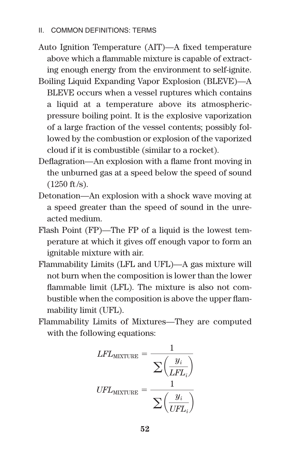Auto Ignition Temperature (AIT)—A fixed temperature above which a flammable mixture is capable of extracting enough energy from the environment to self-ignite.

Boiling Liquid Expanding Vapor Explosion (BLEVE)—A BLEVE occurs when a vessel ruptures which contains a liquid at a temperature above its atmosphericpressure boiling point. It is the explosive vaporization of a large fraction of the vessel contents; possibly followed by the combustion or explosion of the vaporized cloud if it is combustible (similar to a rocket).

- Deflagration—An explosion with a flame front moving in the unburned gas at a speed below the speed of sound  $(1250 \text{ ft/s}).$
- Detonation—An explosion with a shock wave moving at a speed greater than the speed of sound in the unreacted medium.
- Flash Point (FP)—The FP of a liquid is the lowest temperature at which it gives off enough vapor to form an ignitable mixture with air.
- Flammability Limits (LFL and UFL)—A gas mixture will not burn when the composition is lower than the lower flammable limit (LFL). The mixture is also not combustible when the composition is above the upper flammability limit (UFL).
- Flammability Limits of Mixtures—They are computed with the following equations:

$$
LFL_{\text{MIXTURE}} = \frac{1}{\sum \left(\frac{y_i}{LFL_i}\right)}
$$

$$
UFL_{\text{MIXTURE}} = \frac{1}{\sum \left(\frac{y_i}{UFL_i}\right)}
$$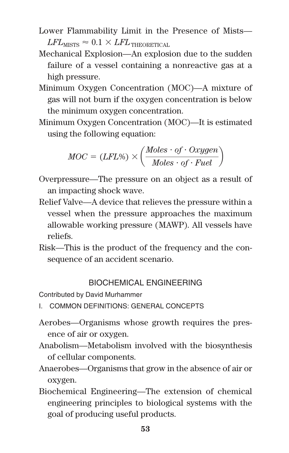- Lower Flammability Limit in the Presence of Mists—  $LFL_{MISTS} \approx 0.1 \times LFL_{THEORETICAL}$
- Mechanical Explosion—An explosion due to the sudden failure of a vessel containing a nonreactive gas at a high pressure.
- Minimum Oxygen Concentration (MOC)—A mixture of gas will not burn if the oxygen concentration is below the minimum oxygen concentration.
- Minimum Oxygen Concentration (MOC)—It is estimated using the following equation:

$$
MOC = (LFL\%) \times \left(\frac{Moles \cdot of \cdot Oxygen}{Moles \cdot of \cdot Fuel}\right)
$$

- Overpressure—The pressure on an object as a result of an impacting shock wave.
- Relief Valve—A device that relieves the pressure within a vessel when the pressure approaches the maximum allowable working pressure (MAWP). All vessels have reliefs.
- Risk—This is the product of the frequency and the consequence of an accident scenario.

# BIOCHEMICAL ENGINEERING

Contributed by David Murhammer

- I. COMMON DEFINITIONS: GENERAL CONCEPTS
- Aerobes—Organisms whose growth requires the presence of air or oxygen.
- Anabolism—Metabolism involved with the biosynthesis of cellular components.
- Anaerobes—Organisms that grow in the absence of air or oxygen.
- Biochemical Engineering—The extension of chemical engineering principles to biological systems with the goal of producing useful products.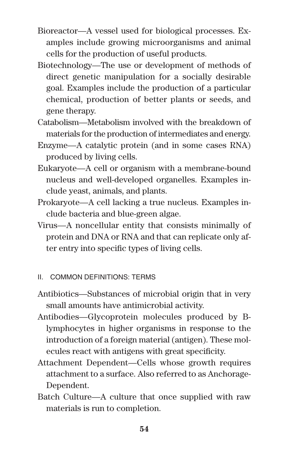- Bioreactor—A vessel used for biological processes. Examples include growing microorganisms and animal cells for the production of useful products.
- Biotechnology—The use or development of methods of direct genetic manipulation for a socially desirable goal. Examples include the production of a particular chemical, production of better plants or seeds, and gene therapy.
- Catabolism—Metabolism involved with the breakdown of materials for the production of intermediates and energy.
- Enzyme—A catalytic protein (and in some cases RNA) produced by living cells.
- Eukaryote—A cell or organism with a membrane-bound nucleus and well-developed organelles. Examples include yeast, animals, and plants.
- Prokaryote—A cell lacking a true nucleus. Examples include bacteria and blue-green algae.
- Virus—A noncellular entity that consists minimally of protein and DNA or RNA and that can replicate only after entry into specific types of living cells.

# II. COMMON DEFINITIONS: TERMS

- Antibiotics—Substances of microbial origin that in very small amounts have antimicrobial activity.
- Antibodies—Glycoprotein molecules produced by Blymphocytes in higher organisms in response to the introduction of a foreign material (antigen). These molecules react with antigens with great specificity.
- Attachment Dependent—Cells whose growth requires attachment to a surface. Also referred to as Anchorage-Dependent.
- Batch Culture—A culture that once supplied with raw materials is run to completion.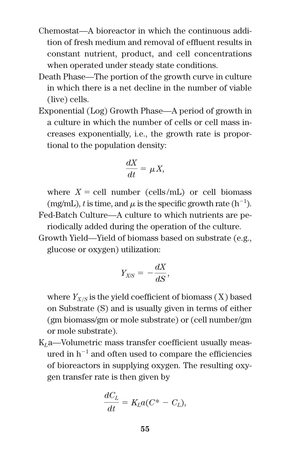- Chemostat—A bioreactor in which the continuous addition of fresh medium and removal of effluent results in constant nutrient, product, and cell concentrations when operated under steady state conditions.
- Death Phase—The portion of the growth curve in culture in which there is a net decline in the number of viable (live) cells.
- Exponential (Log) Growth Phase—A period of growth in a culture in which the number of cells or cell mass increases exponentially, i.e., the growth rate is proportional to the population density:

$$
\frac{dX}{dt} = \mu X,
$$

where  $X = \text{cell number}$  (cells/mL) or cell biomass (mg/mL), *t* is time, and  $\mu$  is the specific growth rate (h<sup>-1</sup>). Fed-Batch Culture—A culture to which nutrients are periodically added during the operation of the culture.

Growth Yield—Yield of biomass based on substrate (e.g., glucose or oxygen) utilization:

$$
Y_{X/S} = -\frac{dX}{dS},
$$

where  $Y_{X/S}$  is the yield coefficient of biomass  $(X)$  based on Substrate (S) and is usually given in terms of either (gm biomass/gm or mole substrate) or (cell number/gm or mole substrate).

K*L*a—Volumetric mass transfer coefficient usually measured in  $h^{-1}$  and often used to compare the efficiencies of bioreactors in supplying oxygen. The resulting oxygen transfer rate is then given by

$$
\frac{dC_L}{dt} = K_L a (C^* - C_L),
$$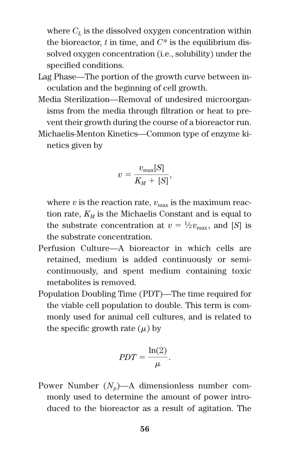where  $C_L$  is the dissolved oxygen concentration within the bioreactor,  $t$  in time, and  $C^*$  is the equilibrium dissolved oxygen concentration (i.e., solubility) under the specified conditions.

- Lag Phase—The portion of the growth curve between inoculation and the beginning of cell growth.
- Media Sterilization—Removal of undesired microorganisms from the media through filtration or heat to prevent their growth during the course of a bioreactor run.
- Michaelis-Menton Kinetics—Common type of enzyme kinetics given by

$$
v = \frac{v_{\text{max}}[S]}{K_M + [S]},
$$

where  $v$  is the reaction rate,  $v_{\text{max}}$  is the maximum reaction rate,  $K_M$  is the Michaelis Constant and is equal to the substrate concentration at  $v = \frac{1}{2}v_{\text{max}}$ , and [*S*] is the substrate concentration.

- Perfusion Culture—A bioreactor in which cells are retained, medium is added continuously or semicontinuously, and spent medium containing toxic metabolites is removed.
- Population Doubling Time (PDT)—The time required for the viable cell population to double. This term is commonly used for animal cell cultures, and is related to the specific growth rate  $(\mu)$  by

$$
PDT = \frac{\ln(2)}{\mu}.
$$

Power Number  $(N_n)$ —A dimensionless number commonly used to determine the amount of power introduced to the bioreactor as a result of agitation. The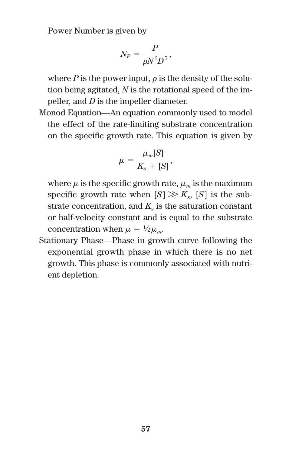Power Number is given by

$$
N_P = \frac{P}{\rho N^3 D^5},
$$

where  $P$  is the power input,  $\rho$  is the density of the solution being agitated, *N* is the rotational speed of the impeller, and *D* is the impeller diameter.

Monod Equation—An equation commonly used to model the effect of the rate-limiting substrate concentration on the specific growth rate. This equation is given by

$$
\mu = \frac{\mu_m[S]}{K_s + [S]},
$$

where  $\mu$  is the specific growth rate,  $\mu_m$  is the maximum specific growth rate when  $[S] \gg K_s$ ,  $[S]$  is the substrate concentration, and  $K_s$  is the saturation constant or half-velocity constant and is equal to the substrate concentration when  $\mu = \frac{1}{2}\mu_m$ .

Stationary Phase—Phase in growth curve following the exponential growth phase in which there is no net growth. This phase is commonly associated with nutrient depletion.